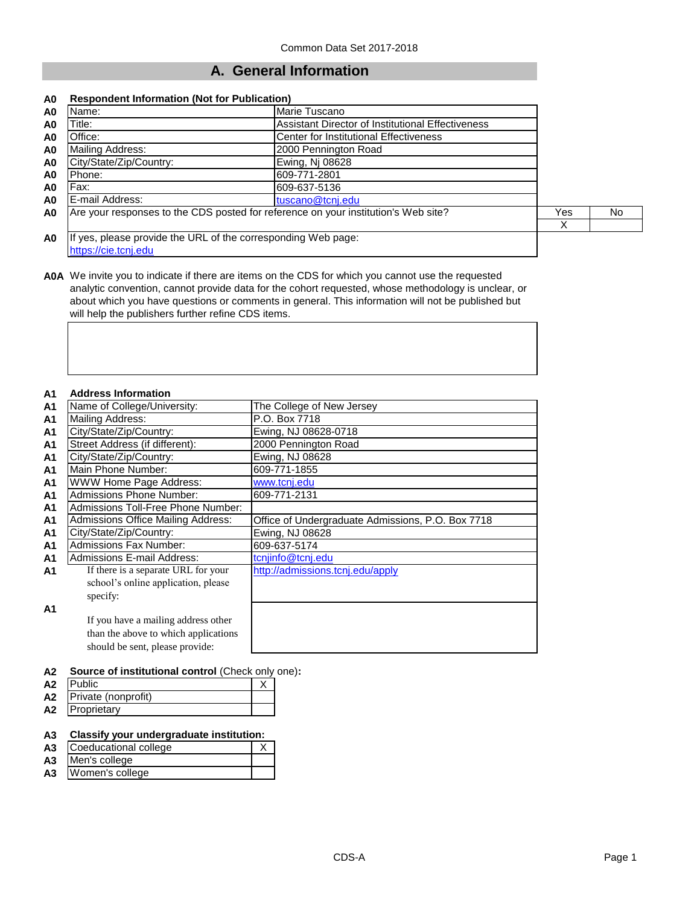## **A. General Information**

#### **A0 Respondent Information (Not for Publication)**

| A0             | Name:                                                                              | Marie Tuscano                                            |     |           |
|----------------|------------------------------------------------------------------------------------|----------------------------------------------------------|-----|-----------|
| A0             | Title:                                                                             | <b>Assistant Director of Institutional Effectiveness</b> |     |           |
| A0             | Office:                                                                            | <b>Center for Institutional Effectiveness</b>            |     |           |
| A <sub>0</sub> | Mailing Address:                                                                   | 2000 Pennington Road                                     |     |           |
| A <sub>0</sub> | City/State/Zip/Country:                                                            | Ewing, Nj 08628                                          |     |           |
| A <sub>0</sub> | Phone:                                                                             | 609-771-2801                                             |     |           |
| A0             | Fax:                                                                               | 609-637-5136                                             |     |           |
| A <sub>0</sub> | E-mail Address:                                                                    | tuscano@tcnj.edu                                         |     |           |
| A <sub>0</sub> | Are your responses to the CDS posted for reference on your institution's Web site? |                                                          | Yes | <b>No</b> |
|                |                                                                                    |                                                          |     |           |
| A <sub>0</sub> | If yes, please provide the URL of the corresponding Web page:                      |                                                          |     |           |

[https://cie.tcnj.edu](https://cie.tcnj.edu/)

**A0A** We invite you to indicate if there are items on the CDS for which you cannot use the requested analytic convention, cannot provide data for the cohort requested, whose methodology is unclear, or about which you have questions or comments in general. This information will not be published but will help the publishers further refine CDS items.

## **A1 Address Information**

| AI             | Аччгезэ шгогшанон                         |                                                   |
|----------------|-------------------------------------------|---------------------------------------------------|
| A <sub>1</sub> | Name of College/University:               | The College of New Jersey                         |
| A1             | Mailing Address:                          | P.O. Box 7718                                     |
| <b>A1</b>      | City/State/Zip/Country:                   | Ewing, NJ 08628-0718                              |
| A1             | Street Address (if different):            | 2000 Pennington Road                              |
| A <sub>1</sub> | City/State/Zip/Country:                   | Ewing, NJ 08628                                   |
| A <sub>1</sub> | Main Phone Number:                        | 609-771-1855                                      |
| A <sub>1</sub> | <b>WWW Home Page Address:</b>             | www.tcnj.edu                                      |
| A <sub>1</sub> | <b>Admissions Phone Number:</b>           | 609-771-2131                                      |
| A <sub>1</sub> | Admissions Toll-Free Phone Number:        |                                                   |
| A <sub>1</sub> | <b>Admissions Office Mailing Address:</b> | Office of Undergraduate Admissions, P.O. Box 7718 |
| A <sub>1</sub> | City/State/Zip/Country:                   | Ewing, NJ 08628                                   |
| A <sub>1</sub> | <b>Admissions Fax Number:</b>             | 609-637-5174                                      |
| A1             | <b>Admissions E-mail Address:</b>         | tcnjinfo@tcnj.edu                                 |
| A1             | If there is a separate URL for your       | http://admissions.tcnj.edu/apply                  |
|                | school's online application, please       |                                                   |
|                | specify:                                  |                                                   |
| A <sub>1</sub> |                                           |                                                   |
|                | If you have a mailing address other       |                                                   |
|                | than the above to which applications      |                                                   |
|                | should be sent, please provide:           |                                                   |
|                |                                           |                                                   |

## **A2 Source of institutional control** (Check only one)**:**

| A <sub>2</sub> |                     |  |
|----------------|---------------------|--|
| A2             | Private (nonprofit) |  |
| A <sub>2</sub> | Proprietary         |  |

#### **A3 Classify your undergraduate institution:**

| A3 | Coeducational college |  |
|----|-----------------------|--|
|    |                       |  |

- **A3** Men's college
- **A3** Women's college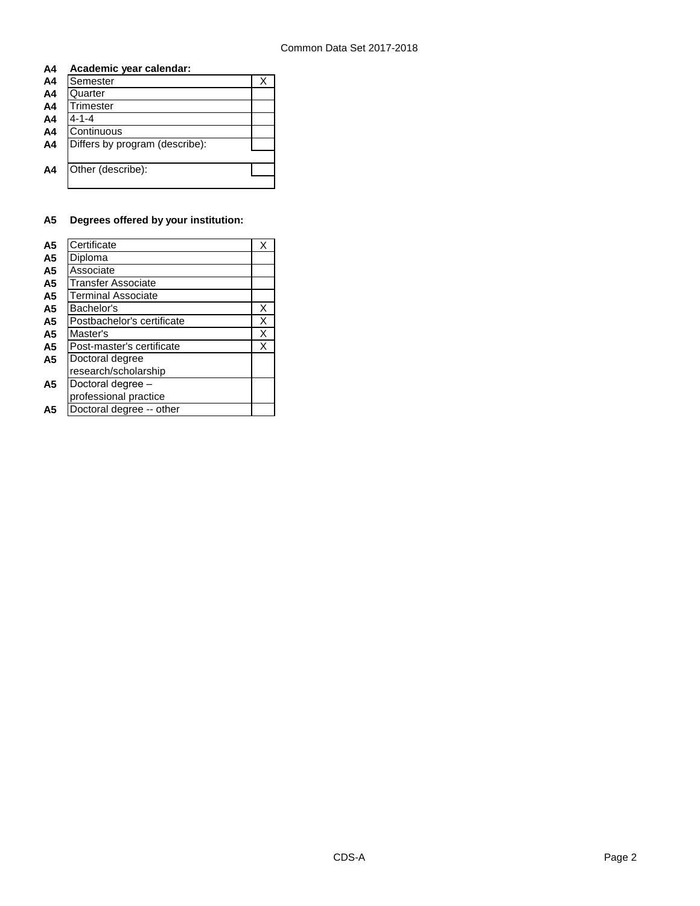## **A4 Academic year calendar:**

| A <sub>4</sub> | Semester                       |  |
|----------------|--------------------------------|--|
| A <sub>4</sub> | Quarter                        |  |
| A <sub>4</sub> | Trimester                      |  |
| A <sub>4</sub> | $4 - 1 - 4$                    |  |
| A <sub>4</sub> | Continuous                     |  |
| A <sub>4</sub> | Differs by program (describe): |  |
|                |                                |  |
| A4             | Other (describe):              |  |
|                |                                |  |

## **A5 Degrees offered by your institution:**

| A <sub>5</sub> | Certificate                | x |
|----------------|----------------------------|---|
| A <sub>5</sub> | Diploma                    |   |
| A <sub>5</sub> | Associate                  |   |
| A <sub>5</sub> | <b>Transfer Associate</b>  |   |
| A <sub>5</sub> | <b>Terminal Associate</b>  |   |
| A <sub>5</sub> | Bachelor's                 | х |
| A <sub>5</sub> | Postbachelor's certificate | Χ |
| A <sub>5</sub> | Master's                   | Χ |
| A <sub>5</sub> | Post-master's certificate  | X |
| A <sub>5</sub> | Doctoral degree            |   |
|                | research/scholarship       |   |
| A5             | Doctoral degree -          |   |
|                | professional practice      |   |
| Α5             | Doctoral degree -- other   |   |
|                |                            |   |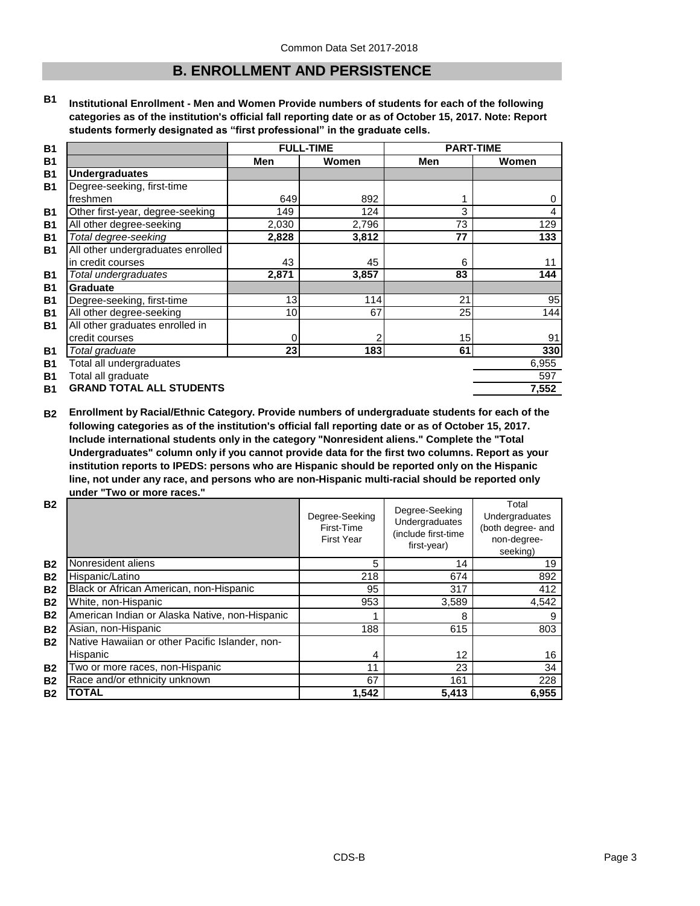## **B. ENROLLMENT AND PERSISTENCE**

**B1 Institutional Enrollment - Men and Women Provide numbers of students for each of the following categories as of the institution's official fall reporting date or as of October 15, 2017. Note: Report students formerly designated as "first professional" in the graduate cells.**

| <b>B1</b>      |                                   |                 | <b>FULL-TIME</b> | <b>PART-TIME</b> |       |
|----------------|-----------------------------------|-----------------|------------------|------------------|-------|
| <b>B1</b>      |                                   | Men             | Women            | Men              | Women |
| <b>B1</b>      | <b>Undergraduates</b>             |                 |                  |                  |       |
| <b>B1</b>      | Degree-seeking, first-time        |                 |                  |                  |       |
|                | freshmen                          | 649             | 892              |                  | 0     |
| <b>B1</b>      | Other first-year, degree-seeking  | 149             | 124              | 3                | 4     |
| <b>B1</b>      | All other degree-seeking          | 2,030           | 2,796            | 73               | 129   |
| <b>B1</b>      | Total degree-seeking              | 2,828           | 3,812            | 77               | 133   |
| <b>B1</b>      | All other undergraduates enrolled |                 |                  |                  |       |
|                | in credit courses                 | 43              | 45               | 6                | 11    |
| <b>B1</b>      | Total undergraduates              | 2,871           | 3,857            | 83               | 144   |
| <b>B1</b>      | Graduate                          |                 |                  |                  |       |
| <b>B1</b>      | Degree-seeking, first-time        | 13              | 114              | 21               | 95    |
| <b>B1</b>      | All other degree-seeking          | 10 <sup>1</sup> | 67               | 25               | 144   |
| <b>B1</b>      | All other graduates enrolled in   |                 |                  |                  |       |
|                | credit courses                    | 0               | 2                | 15               | 91    |
| <b>B1</b>      | Total graduate                    | 23              | 183              | 61               | 330   |
| <b>B1</b>      | Total all undergraduates          |                 |                  |                  | 6,955 |
| B <sub>1</sub> | Total all graduate                |                 |                  |                  | 597   |
| <b>B1</b>      | <b>GRAND TOTAL ALL STUDENTS</b>   |                 |                  |                  | 7,552 |

**B2 Enrollment by Racial/Ethnic Category. Provide numbers of undergraduate students for each of the following categories as of the institution's official fall reporting date or as of October 15, 2017. Include international students only in the category "Nonresident aliens." Complete the "Total Undergraduates" column only if you cannot provide data for the first two columns. Report as your institution reports to IPEDS: persons who are Hispanic should be reported only on the Hispanic line, not under any race, and persons who are non-Hispanic multi-racial should be reported only under "Two or more races."** 

| <b>B2</b> |                                                 | Degree-Seeking<br>First-Time<br><b>First Year</b> | Degree-Seeking<br>Undergraduates<br>(include first-time<br>first-year) | Total<br>Undergraduates<br>(both degree- and<br>non-degree-<br>seeking) |
|-----------|-------------------------------------------------|---------------------------------------------------|------------------------------------------------------------------------|-------------------------------------------------------------------------|
| <b>B2</b> | Nonresident aliens                              | 5                                                 | 14                                                                     | 19                                                                      |
| <b>B2</b> | Hispanic/Latino                                 | 218                                               | 674                                                                    | 892                                                                     |
| <b>B2</b> | Black or African American, non-Hispanic         | 95                                                | 317                                                                    | 412                                                                     |
| <b>B2</b> | White, non-Hispanic                             | 953                                               | 3,589                                                                  | 4,542                                                                   |
| <b>B2</b> | American Indian or Alaska Native, non-Hispanic  |                                                   | 8                                                                      | 9                                                                       |
| <b>B2</b> | Asian, non-Hispanic                             | 188                                               | 615                                                                    | 803                                                                     |
| <b>B2</b> | Native Hawaiian or other Pacific Islander, non- |                                                   |                                                                        |                                                                         |
|           | Hispanic                                        | 4                                                 | 12                                                                     | 16                                                                      |
| <b>B2</b> | Two or more races, non-Hispanic                 | 11                                                | 23                                                                     | 34                                                                      |
| <b>B2</b> | Race and/or ethnicity unknown                   | 67                                                | 161                                                                    | 228                                                                     |
| <b>B2</b> | <b>TOTAL</b>                                    | 1,542                                             | 5,413                                                                  | 6,955                                                                   |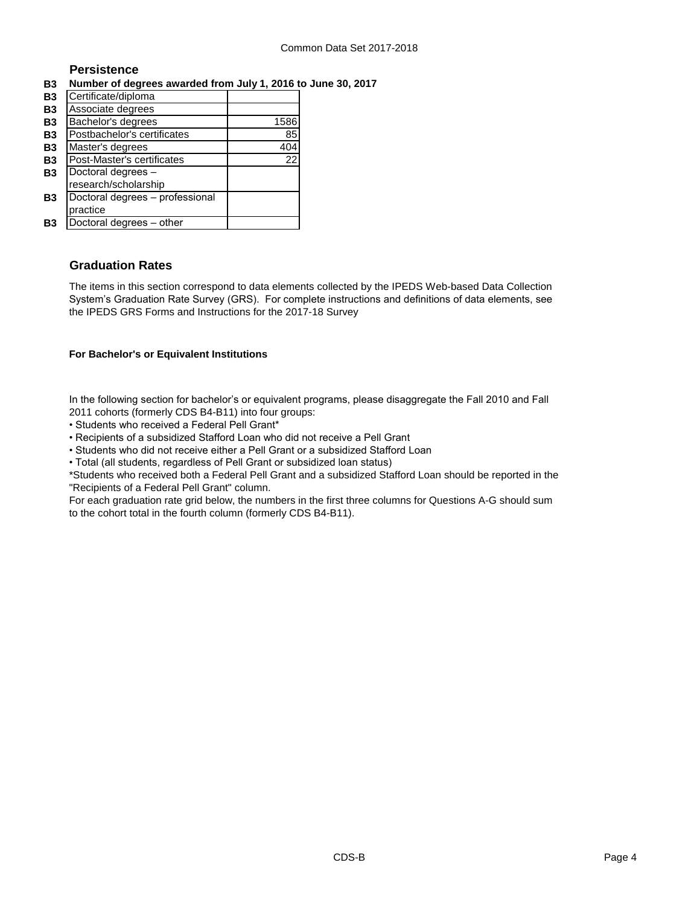## **Persistence**

## **B3 Number of degrees awarded from July 1, 2016 to June 30, 2017**

| <b>B3</b> | Certificate/diploma             |      |
|-----------|---------------------------------|------|
| <b>B3</b> | Associate degrees               |      |
| <b>B3</b> | Bachelor's degrees              | 1586 |
| <b>B3</b> | Postbachelor's certificates     | 85   |
| <b>B3</b> | Master's degrees                | 404  |
| <b>B3</b> | Post-Master's certificates      | 22   |
| <b>B3</b> | Doctoral degrees -              |      |
|           | research/scholarship            |      |
| <b>B3</b> | Doctoral degrees - professional |      |
|           | practice                        |      |
| B3        | Doctoral degrees - other        |      |

## **Graduation Rates**

The items in this section correspond to data elements collected by the IPEDS Web-based Data Collection System's Graduation Rate Survey (GRS). For complete instructions and definitions of data elements, see the IPEDS GRS Forms and Instructions for the 2017-18 Survey

## **For Bachelor's or Equivalent Institutions**

In the following section for bachelor's or equivalent programs, please disaggregate the Fall 2010 and Fall 2011 cohorts (formerly CDS B4-B11) into four groups:

- Students who received a Federal Pell Grant\*
- Recipients of a subsidized Stafford Loan who did not receive a Pell Grant
- Students who did not receive either a Pell Grant or a subsidized Stafford Loan
- Total (all students, regardless of Pell Grant or subsidized loan status)

\*Students who received both a Federal Pell Grant and a subsidized Stafford Loan should be reported in the "Recipients of a Federal Pell Grant" column.

For each graduation rate grid below, the numbers in the first three columns for Questions A-G should sum to the cohort total in the fourth column (formerly CDS B4-B11).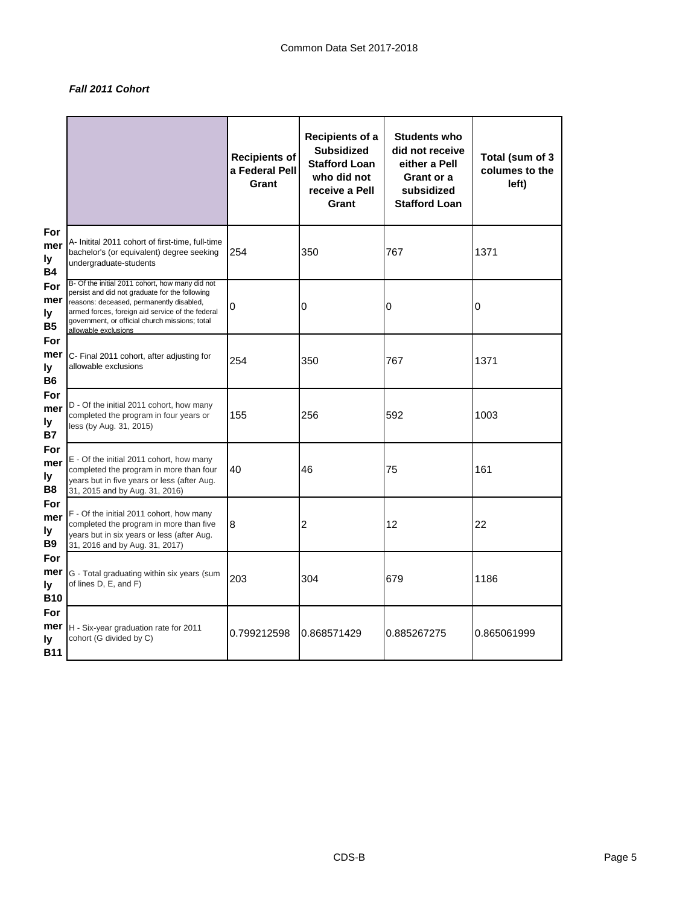## *Fall 2011 Cohort*

|                                |                                                                                                                                                                                                                                                                             | <b>Recipients of</b><br>a Federal Pell<br>Grant | <b>Recipients of a</b><br><b>Subsidized</b><br><b>Stafford Loan</b><br>who did not<br>receive a Pell<br>Grant | <b>Students who</b><br>did not receive<br>either a Pell<br>Grant or a<br>subsidized<br><b>Stafford Loan</b> | Total (sum of 3<br>columes to the<br>left) |
|--------------------------------|-----------------------------------------------------------------------------------------------------------------------------------------------------------------------------------------------------------------------------------------------------------------------------|-------------------------------------------------|---------------------------------------------------------------------------------------------------------------|-------------------------------------------------------------------------------------------------------------|--------------------------------------------|
| For<br>mer<br>ly<br><b>B4</b>  | A- Initital 2011 cohort of first-time, full-time<br>bachelor's (or equivalent) degree seeking<br>undergraduate-students                                                                                                                                                     | 254                                             | 350                                                                                                           | 767                                                                                                         | 1371                                       |
| For<br>mer<br>ly<br><b>B5</b>  | B- Of the initial 2011 cohort, how many did not<br>persist and did not graduate for the following<br>reasons: deceased, permanently disabled,<br>armed forces, foreign aid service of the federal<br>government, or official church missions; total<br>allowable exclusions | 0                                               | 0                                                                                                             | 0                                                                                                           | 0                                          |
| For<br>mer<br>ly<br><b>B6</b>  | C- Final 2011 cohort, after adjusting for<br>allowable exclusions                                                                                                                                                                                                           | 254                                             | 350                                                                                                           | 767                                                                                                         | 1371                                       |
| For<br>mer<br>ly<br><b>B7</b>  | D - Of the initial 2011 cohort, how many<br>completed the program in four years or<br>less (by Aug. 31, 2015)                                                                                                                                                               | 155                                             | 256                                                                                                           | 592                                                                                                         | 1003                                       |
| For<br>mer<br>ly<br>B8         | E - Of the initial 2011 cohort, how many<br>completed the program in more than four<br>years but in five years or less (after Aug.<br>31, 2015 and by Aug. 31, 2016)                                                                                                        | 40                                              | 46                                                                                                            | 75                                                                                                          | 161                                        |
| For<br>mer<br>ly<br><b>B9</b>  | F - Of the initial 2011 cohort, how many<br>completed the program in more than five<br>years but in six years or less (after Aug.<br>31, 2016 and by Aug. 31, 2017)                                                                                                         | 8                                               | $\overline{2}$                                                                                                | 12                                                                                                          | 22                                         |
| For<br>ly<br><b>B10</b>        | <b>mer</b> G - Total graduating within six years (sum<br>of lines D, E, and F)                                                                                                                                                                                              | 203                                             | 304                                                                                                           | 679                                                                                                         | 1186                                       |
| For<br>mer<br>ly<br><b>B11</b> | H - Six-year graduation rate for 2011<br>cohort (G divided by C)                                                                                                                                                                                                            | 0.799212598                                     | 0.868571429                                                                                                   | 0.885267275                                                                                                 | 0.865061999                                |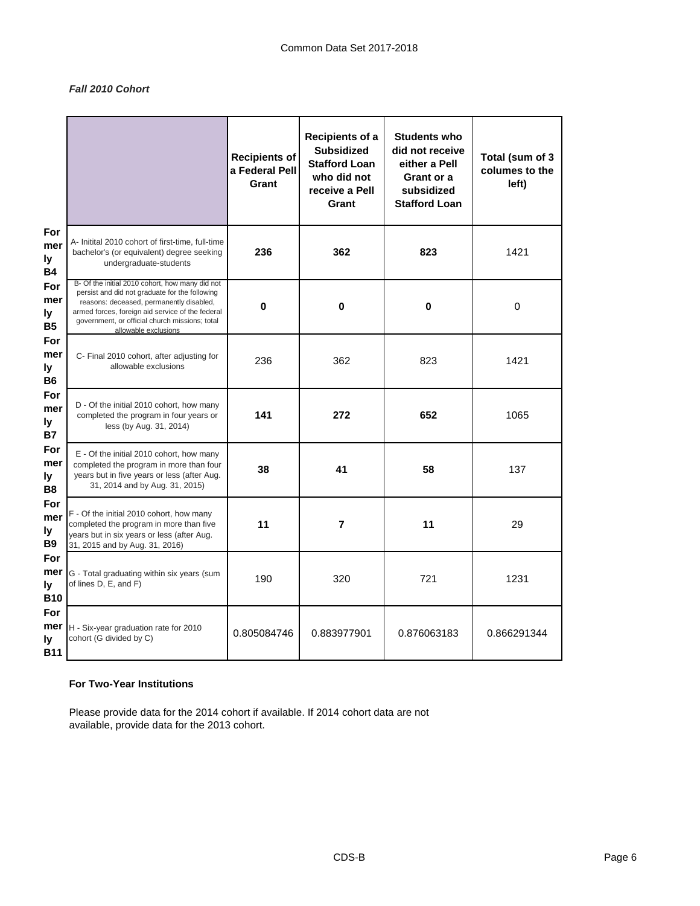## *Fall 2010 Cohort*

|                                |                                                                                                                                                                                                                                                                             | Recipients of<br>a Federal Pell<br>Grant | Recipients of a<br><b>Subsidized</b><br><b>Stafford Loan</b><br>who did not<br>receive a Pell<br>Grant | <b>Students who</b><br>did not receive<br>either a Pell<br>Grant or a<br>subsidized<br><b>Stafford Loan</b> | Total (sum of 3<br>columes to the<br>left) |
|--------------------------------|-----------------------------------------------------------------------------------------------------------------------------------------------------------------------------------------------------------------------------------------------------------------------------|------------------------------------------|--------------------------------------------------------------------------------------------------------|-------------------------------------------------------------------------------------------------------------|--------------------------------------------|
| For<br>mer<br>ly<br><b>B4</b>  | A- Initital 2010 cohort of first-time, full-time<br>bachelor's (or equivalent) degree seeking<br>undergraduate-students                                                                                                                                                     | 236                                      | 362                                                                                                    | 823                                                                                                         | 1421                                       |
| For<br>mer<br>ly<br><b>B5</b>  | B- Of the initial 2010 cohort, how many did not<br>persist and did not graduate for the following<br>reasons: deceased, permanently disabled,<br>armed forces, foreign aid service of the federal<br>government, or official church missions; total<br>allowable exclusions | $\pmb{0}$                                | $\pmb{0}$                                                                                              | $\pmb{0}$                                                                                                   | $\pmb{0}$                                  |
| For<br>mer<br>ly<br><b>B6</b>  | C- Final 2010 cohort, after adjusting for<br>allowable exclusions                                                                                                                                                                                                           | 236                                      | 362                                                                                                    | 823                                                                                                         | 1421                                       |
| For<br>mer<br>ly<br><b>B7</b>  | D - Of the initial 2010 cohort, how many<br>completed the program in four years or<br>less (by Aug. 31, 2014)                                                                                                                                                               | 141                                      | 272                                                                                                    | 652                                                                                                         | 1065                                       |
| For<br>mer<br>ly.<br><b>B8</b> | E - Of the initial 2010 cohort, how many<br>completed the program in more than four<br>years but in five years or less (after Aug.<br>31, 2014 and by Aug. 31, 2015)                                                                                                        | 38                                       | 41                                                                                                     | 58                                                                                                          | 137                                        |
| For<br>mer<br>ly<br><b>B9</b>  | F - Of the initial 2010 cohort, how many<br>completed the program in more than five<br>years but in six years or less (after Aug.<br>31, 2015 and by Aug. 31, 2016)                                                                                                         | 11                                       | 7                                                                                                      | 11                                                                                                          | 29                                         |
| For<br>ly<br><b>B10</b>        | <b>mer</b> G - Total graduating within six years (sum<br>of lines D, E, and F)                                                                                                                                                                                              | 190                                      | 320                                                                                                    | 721                                                                                                         | 1231                                       |
| For<br>mer<br>ly<br><b>B11</b> | H - Six-year graduation rate for 2010<br>cohort (G divided by C)                                                                                                                                                                                                            | 0.805084746                              | 0.883977901                                                                                            | 0.876063183                                                                                                 | 0.866291344                                |

## **For Two-Year Institutions**

Please provide data for the 2014 cohort if available. If 2014 cohort data are not available, provide data for the 2013 cohort.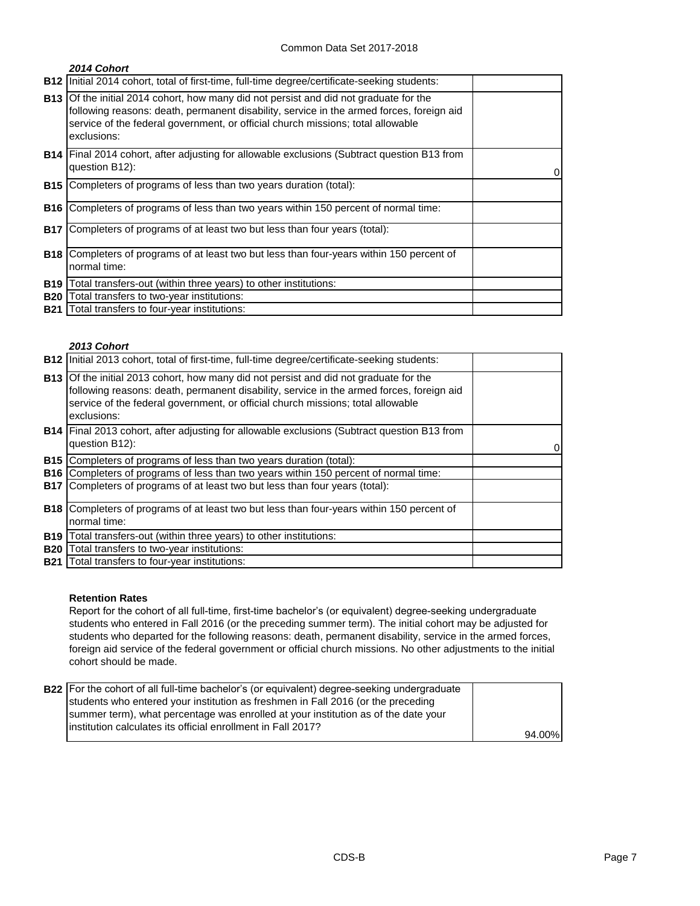|            | 2014 Cohort                                                                                                                                                                                                                                                                                |   |
|------------|--------------------------------------------------------------------------------------------------------------------------------------------------------------------------------------------------------------------------------------------------------------------------------------------|---|
| <b>B12</b> | Initial 2014 cohort, total of first-time, full-time degree/certificate-seeking students:                                                                                                                                                                                                   |   |
|            | <b>B13</b> Of the initial 2014 cohort, how many did not persist and did not graduate for the<br>following reasons: death, permanent disability, service in the armed forces, foreign aid<br>service of the federal government, or official church missions; total allowable<br>exclusions: |   |
|            | <b>B14</b> Final 2014 cohort, after adjusting for allowable exclusions (Subtract question B13 from<br>question B12):                                                                                                                                                                       | 0 |
| <b>B15</b> | Completers of programs of less than two years duration (total):                                                                                                                                                                                                                            |   |
| <b>B16</b> | Completers of programs of less than two years within 150 percent of normal time:                                                                                                                                                                                                           |   |
| <b>B17</b> | Completers of programs of at least two but less than four years (total):                                                                                                                                                                                                                   |   |
| <b>B18</b> | Completers of programs of at least two but less than four-years within 150 percent of<br>normal time:                                                                                                                                                                                      |   |
| <b>B19</b> | Total transfers-out (within three years) to other institutions:                                                                                                                                                                                                                            |   |
| <b>B20</b> | Total transfers to two-year institutions:                                                                                                                                                                                                                                                  |   |
|            | <b>B21</b> Total transfers to four-year institutions:                                                                                                                                                                                                                                      |   |

#### *2013 Cohort*

|            | <b>B12</b> Initial 2013 cohort, total of first-time, full-time degree/certificate-seeking students:                                                                                                                                                                                        |   |
|------------|--------------------------------------------------------------------------------------------------------------------------------------------------------------------------------------------------------------------------------------------------------------------------------------------|---|
|            | <b>B13</b> Of the initial 2013 cohort, how many did not persist and did not graduate for the<br>following reasons: death, permanent disability, service in the armed forces, foreign aid<br>service of the federal government, or official church missions; total allowable<br>exclusions: |   |
|            | <b>B14</b> Final 2013 cohort, after adjusting for allowable exclusions (Subtract question B13 from<br>question B12):                                                                                                                                                                       | 0 |
| <b>B15</b> | Completers of programs of less than two years duration (total):                                                                                                                                                                                                                            |   |
|            | <b>B16</b> Completers of programs of less than two years within 150 percent of normal time:                                                                                                                                                                                                |   |
|            | <b>B17</b> Completers of programs of at least two but less than four years (total):                                                                                                                                                                                                        |   |
|            | <b>B18</b> Completers of programs of at least two but less than four-years within 150 percent of                                                                                                                                                                                           |   |
|            | normal time:                                                                                                                                                                                                                                                                               |   |
| <b>B19</b> | Total transfers-out (within three years) to other institutions:                                                                                                                                                                                                                            |   |
| <b>B20</b> | Total transfers to two-year institutions:                                                                                                                                                                                                                                                  |   |
| <b>B21</b> | Total transfers to four-year institutions:                                                                                                                                                                                                                                                 |   |

### **Retention Rates**

Report for the cohort of all full-time, first-time bachelor's (or equivalent) degree-seeking undergraduate students who entered in Fall 2016 (or the preceding summer term). The initial cohort may be adjusted for students who departed for the following reasons: death, permanent disability, service in the armed forces, foreign aid service of the federal government or official church missions. No other adjustments to the initial cohort should be made.

| <b>B22</b> For the cohort of all full-time bachelor's (or equivalent) degree-seeking undergraduate |        |
|----------------------------------------------------------------------------------------------------|--------|
| students who entered your institution as freshmen in Fall 2016 (or the preceding                   |        |
| summer term), what percentage was enrolled at your institution as of the date your                 |        |
| linstitution calculates its official enrollment in Fall 2017?                                      |        |
|                                                                                                    | 94.00% |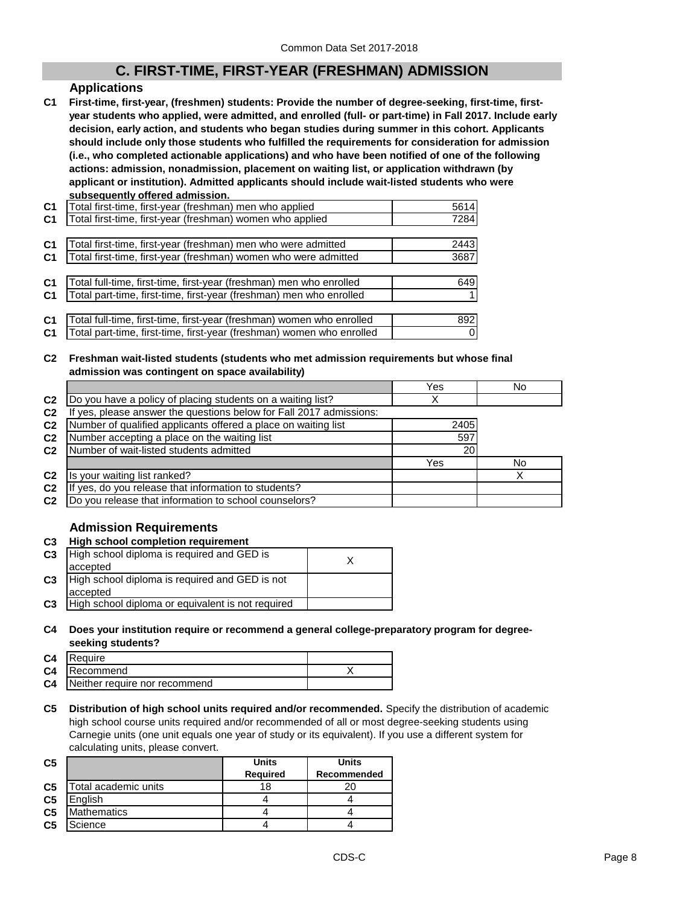## **C. FIRST-TIME, FIRST-YEAR (FRESHMAN) ADMISSION**

## **Applications**

**C1 First-time, first-year, (freshmen) students: Provide the number of degree-seeking, first-time, firstyear students who applied, were admitted, and enrolled (full- or part-time) in Fall 2017. Include early decision, early action, and students who began studies during summer in this cohort. Applicants should include only those students who fulfilled the requirements for consideration for admission (i.e., who completed actionable applications) and who have been notified of one of the following actions: admission, nonadmission, placement on waiting list, or application withdrawn (by applicant or institution). Admitted applicants should include wait-listed students who were subsequently offered admission.**

| C <sub>1</sub> | Total first-time, first-year (freshman) men who applied               | 5614 |
|----------------|-----------------------------------------------------------------------|------|
| <b>C1</b>      | Total first-time, first-year (freshman) women who applied             | 7284 |
|                |                                                                       |      |
| C <sub>1</sub> | Total first-time, first-year (freshman) men who were admitted         | 2443 |
| C <sub>1</sub> | Total first-time, first-year (freshman) women who were admitted       | 3687 |
|                |                                                                       |      |
| C <sub>1</sub> | Total full-time, first-time, first-year (freshman) men who enrolled   | 649  |
| C <sub>1</sub> | Total part-time, first-time, first-year (freshman) men who enrolled   |      |
|                |                                                                       |      |
| C <sub>1</sub> | Total full-time, first-time, first-year (freshman) women who enrolled | 892  |
| C1             | Total part-time, first-time, first-year (freshman) women who enrolled | 0    |

#### **C2 Freshman wait-listed students (students who met admission requirements but whose final admission was contingent on space availability)**

|                |                                                                  | Yes  | No  |
|----------------|------------------------------------------------------------------|------|-----|
| C <sub>2</sub> | Do you have a policy of placing students on a waiting list?      |      |     |
| C <sub>2</sub> | yes, please answer the questions below for Fall 2017 admissions: |      |     |
| C <sub>2</sub> | Number of qualified applicants offered a place on waiting list   | 2405 |     |
| C <sub>2</sub> | Number accepting a place on the waiting list                     | 597  |     |
| C <sub>2</sub> | Number of wait-listed students admitted                          | 20   |     |
|                |                                                                  | Yes  | No. |
| C <sub>2</sub> | Is your waiting list ranked?                                     |      |     |
| C <sub>2</sub> | yes, do you release that information to students?                |      |     |
| C <sub>2</sub> | Do you release that information to school counselors?            |      |     |

## **Admission Requirements**

## **C3 High school completion requirement**

| C <sub>3</sub> | High school diploma is required and GED is        |  |
|----------------|---------------------------------------------------|--|
|                | accepted                                          |  |
| C <sub>3</sub> | High school diploma is required and GED is not    |  |
|                | accepted                                          |  |
| C <sub>3</sub> | High school diploma or equivalent is not required |  |

#### **C4 Does your institution require or recommend a general college-preparatory program for degreeseeking students?**

| <b>C4</b> Require                       |  |
|-----------------------------------------|--|
| <b>C4</b> Recommend                     |  |
| <b>C4</b> Neither require nor recommend |  |

**C5 Distribution of high school units required and/or recommended.** Specify the distribution of academic high school course units required and/or recommended of all or most degree-seeking students using Carnegie units (one unit equals one year of study or its equivalent). If you use a different system for calculating units, please convert.

| C <sub>5</sub> |                      | <b>Units</b>    | <b>Units</b> |
|----------------|----------------------|-----------------|--------------|
|                |                      | <b>Required</b> | Recommended  |
| C <sub>5</sub> | Total academic units | 18              |              |
| C <sub>5</sub> | English              |                 |              |
| C <sub>5</sub> | <b>Mathematics</b>   |                 |              |
| C <sub>5</sub> | Science              |                 |              |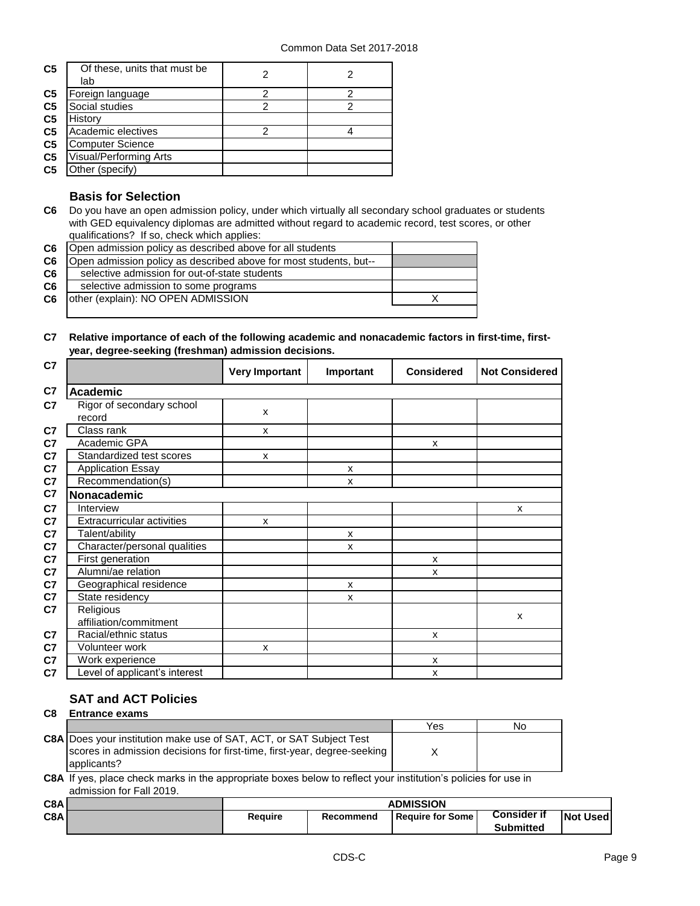| C <sub>5</sub> | Of these, units that must be<br>lab |   |   |
|----------------|-------------------------------------|---|---|
| C <sub>5</sub> | Foreign language                    | ႒ | າ |
| C <sub>5</sub> | Social studies                      | 2 | 2 |
| C <sub>5</sub> | History                             |   |   |
| C <sub>5</sub> | Academic electives                  | 2 |   |
| C <sub>5</sub> | <b>Computer Science</b>             |   |   |
| C <sub>5</sub> | <b>Visual/Performing Arts</b>       |   |   |
| C <sub>5</sub> | Other (specify)                     |   |   |

## **Basis for Selection**

**C6** Do you have an open admission policy, under which virtually all secondary school graduates or students with GED equivalency diplomas are admitted without regard to academic record, test scores, or other qualifications? If so, check which applies:

| C6             | Open admission policy as described above for all students         |  |
|----------------|-------------------------------------------------------------------|--|
| C <sub>6</sub> | Open admission policy as described above for most students, but-- |  |
| C <sub>6</sub> | selective admission for out-of-state students                     |  |
| C <sub>6</sub> | selective admission to some programs                              |  |
| C6             | other (explain): NO OPEN ADMISSION                                |  |
|                |                                                                   |  |

**C7 Relative importance of each of the following academic and nonacademic factors in first-time, firstyear, degree-seeking (freshman) admission decisions.**

| C7             |                                     | <b>Very Important</b> | Important | <b>Considered</b> | <b>Not Considered</b> |
|----------------|-------------------------------------|-----------------------|-----------|-------------------|-----------------------|
| C7             | <b>Academic</b>                     |                       |           |                   |                       |
| C7             | Rigor of secondary school<br>record | X                     |           |                   |                       |
| C7             | Class rank                          | X                     |           |                   |                       |
| C7             | Academic GPA                        |                       |           | X                 |                       |
| C <sub>7</sub> | Standardized test scores            | X                     |           |                   |                       |
| C <sub>7</sub> | <b>Application Essay</b>            |                       | X         |                   |                       |
| C7             | Recommendation(s)                   |                       | X         |                   |                       |
| C7             | <b>Nonacademic</b>                  |                       |           |                   |                       |
| C <sub>7</sub> | Interview                           |                       |           |                   | X                     |
| C7             | <b>Extracurricular activities</b>   | X                     |           |                   |                       |
| C7             | Talent/ability                      |                       | X         |                   |                       |
| C7             | Character/personal qualities        |                       | X         |                   |                       |
| C7             | First generation                    |                       |           | X                 |                       |
| C <sub>7</sub> | Alumni/ae relation                  |                       |           | X                 |                       |
| C <sub>7</sub> | Geographical residence              |                       | X         |                   |                       |
| C7             | State residency                     |                       | X         |                   |                       |
| C <sub>7</sub> | Religious                           |                       |           |                   | X                     |
|                | affiliation/commitment              |                       |           |                   |                       |
| C <sub>7</sub> | Racial/ethnic status                |                       |           | X                 |                       |
| C <sub>7</sub> | Volunteer work                      | X                     |           |                   |                       |
| C7             | Work experience                     |                       |           | X                 |                       |
| C7             | evel of applicant's interest        |                       |           | X                 |                       |

## **SAT and ACT Policies**

| C <sub>8</sub> | <b>Entrance exams</b>                                                                                                                                                 |     |    |  |  |
|----------------|-----------------------------------------------------------------------------------------------------------------------------------------------------------------------|-----|----|--|--|
|                |                                                                                                                                                                       | Yes | No |  |  |
|                | <b>C8A</b> Does your institution make use of SAT, ACT, or SAT Subject Test<br>scores in admission decisions for first-time, first-year, degree-seeking<br>applicants? |     |    |  |  |

**C8A** If yes, place check marks in the appropriate boxes below to reflect your institution's policies for use in admission for Fall 2019.

| C8A | <b>ADMISSION</b>                                    |  |                    |                  |  |
|-----|-----------------------------------------------------|--|--------------------|------------------|--|
| C8A | <b>Require</b><br>l Reauire for Some l<br>Recommend |  | <b>Consider if</b> | <b>Not Used</b>  |  |
|     |                                                     |  |                    | <b>Submitted</b> |  |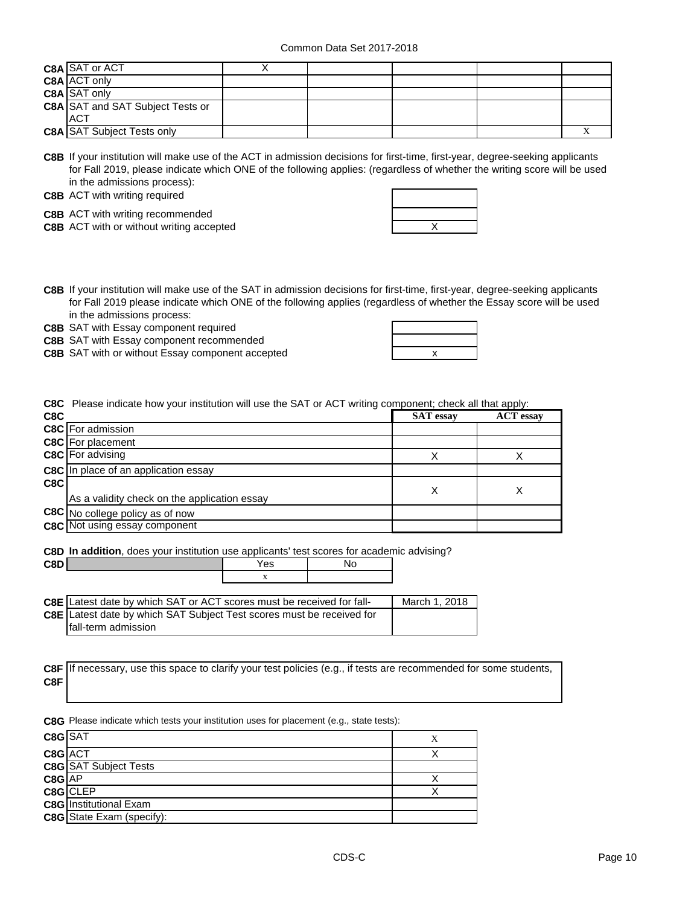| C8A SAT or ACT                          |  |  |  |
|-----------------------------------------|--|--|--|
| C8A ACT only                            |  |  |  |
| <b>C8A SAT only</b>                     |  |  |  |
| <b>C8A SAT and SAT Subject Tests or</b> |  |  |  |
| <b>ACT</b>                              |  |  |  |
| <b>C8A SAT Subject Tests only</b>       |  |  |  |

**C8B** If your institution will make use of the ACT in admission decisions for first-time, first-year, degree-seeking applicants for Fall 2019, please indicate which ONE of the following applies: (regardless of whether the writing score will be used in the admissions process):

#### **C8B** ACT with writing required

**C8B** ACT with writing recommended

**C8B** ACT with or without writing accepted **ACT ACT ACT ACT ACT ACT ACT ACT ACT ACT ACT ACT ACT ACT ACT ACT ACT ACT ACT ACT ACT ACT ACT ACT ACT ACT ACT ACT ACT ACT** 

**C8B** If your institution will make use of the SAT in admission decisions for first-time, first-year, degree-seeking applicants for Fall 2019 please indicate which ONE of the following applies (regardless of whether the Essay score will be used in the admissions process:

**C8B** SAT with Essay component required

 $C8D$ 

**C8B** SAT with Essay component recommended

**C8B** SAT with or without Essay component accepted  $\qquad \qquad \qquad \qquad \qquad \qquad$ 

| the control of the control of the                                                                                                                                                                                                          |   |  |
|--------------------------------------------------------------------------------------------------------------------------------------------------------------------------------------------------------------------------------------------|---|--|
| --<br><u>and the contract of the contract of the contract of the contract of the contract of the contract of the contract of the contract of the contract of the contract of the contract of the contract of the contract of the contr</u> | X |  |

**C8C** Please indicate how your institution will use the SAT or ACT writing component; check all that apply:

| C <sub>8</sub> C |                                              | <b>SAT</b> essay | <b>ACT</b> essay |
|------------------|----------------------------------------------|------------------|------------------|
|                  | <b>C8C</b> For admission                     |                  |                  |
|                  | <b>C8C</b> For placement                     |                  |                  |
|                  | C8C For advising                             |                  |                  |
|                  | <b>C8C</b> In place of an application essay  |                  |                  |
| C8C              |                                              | Х                |                  |
|                  | As a validity check on the application essay |                  |                  |
|                  | C8C No college policy as of now              |                  |                  |
|                  | <b>C8C</b> Not using essay component         |                  |                  |

**C8D In addition**, does your institution use applicants' test scores for academic advising?

| <b>C8E</b> Latest date by which SAT or ACT scores must be received for fall- | March 1, 2018 |
|------------------------------------------------------------------------------|---------------|
| C8E Latest date by which SAT Subject Test scores must be received for        |               |
| Ifall-term admission                                                         |               |

|     | C8F If necessary, use this space to clarify your test policies (e.g., if tests are recommended for some students, |
|-----|-------------------------------------------------------------------------------------------------------------------|
| C8F |                                                                                                                   |

**C8G** Please indicate which tests your institution uses for placement (e.g., state tests):

| C8G SAT    |                                  |  |
|------------|----------------------------------|--|
| C8G ACT    |                                  |  |
|            | <b>C8G</b> SAT Subject Tests     |  |
| $C8G$ $AP$ |                                  |  |
|            | $C8G$ CLEP                       |  |
|            | <b>C8G</b> Institutional Exam    |  |
|            | <b>C8G</b> State Exam (specify): |  |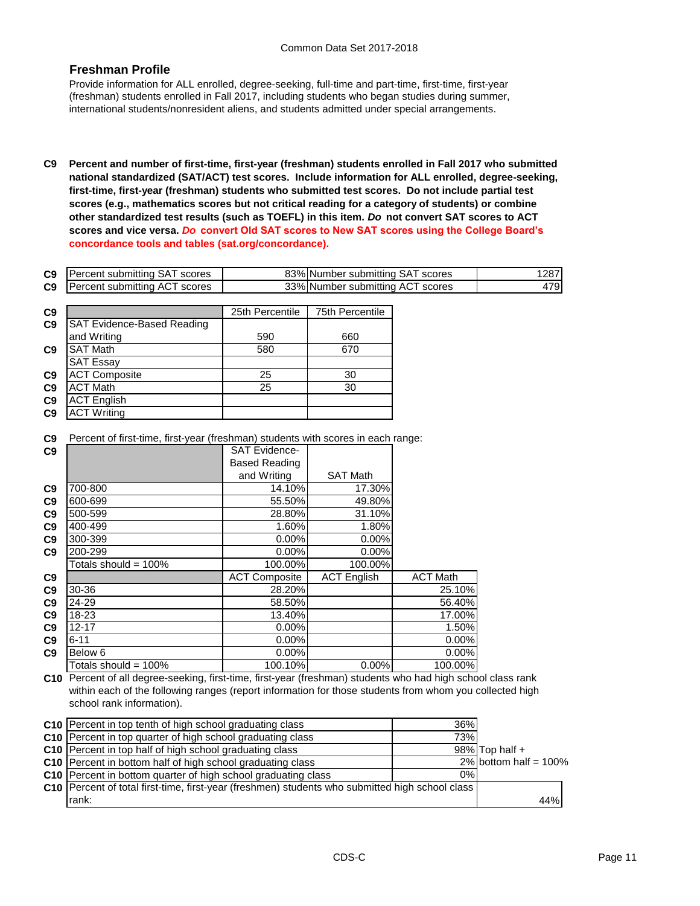## **Freshman Profile**

Provide information for ALL enrolled, degree-seeking, full-time and part-time, first-time, first-year (freshman) students enrolled in Fall 2017, including students who began studies during summer, international students/nonresident aliens, and students admitted under special arrangements.

**C9 Percent and number of first-time, first-year (freshman) students enrolled in Fall 2017 who submitted national standardized (SAT/ACT) test scores. Include information for ALL enrolled, degree-seeking, first-time, first-year (freshman) students who submitted test scores. Do not include partial test scores (e.g., mathematics scores but not critical reading for a category of students) or combine other standardized test results (such as TOEFL) in this item.** *Do* **not convert SAT scores to ACT scores and vice versa.** *Do* **convert Old SAT scores to New SAT scores using the College Board's concordance tools and tables (sat.org/concordance).**

| C9             | <b>Percent submitting SAT scores</b> | 83% Number submitting SAT scores |     |
|----------------|--------------------------------------|----------------------------------|-----|
| C <sub>9</sub> | <b>Percent submitting ACT scores</b> | 33% Number submitting ACT scores | 479 |

| C <sub>9</sub> |                                   | 25th Percentile | 75th Percentile |
|----------------|-----------------------------------|-----------------|-----------------|
| C <sub>9</sub> | <b>SAT Evidence-Based Reading</b> |                 |                 |
|                | and Writing                       | 590             | 660             |
| C <sub>9</sub> | <b>SAT Math</b>                   | 580             | 670             |
|                | <b>SAT Essay</b>                  |                 |                 |
| C <sub>9</sub> | <b>ACT Composite</b>              | 25              | 30              |
| C <sub>9</sub> | <b>ACT Math</b>                   | 25              | 30              |
| C <sub>9</sub> | <b>ACT English</b>                |                 |                 |
| C <sub>9</sub> | <b>ACT Writing</b>                |                 |                 |

**C9** Percent of first-time, first-year (freshman) students with scores in each range:

| C9             |                      | <b>SAT Evidence-</b> |                    |                 |
|----------------|----------------------|----------------------|--------------------|-----------------|
|                |                      | <b>Based Reading</b> |                    |                 |
|                |                      | and Writing          | <b>SAT Math</b>    |                 |
| C9             | 700-800              | 14.10%               | 17.30%             |                 |
| C <sub>9</sub> | 600-699              | 55.50%               | 49.80%             |                 |
| C9             | 500-599              | 28.80%               | 31.10%             |                 |
| C9             | 400-499              | 1.60%                | 1.80%              |                 |
| C9             | 300-399              | 0.00%                | 0.00%              |                 |
| C9             | 200-299              | 0.00%                | 0.00%              |                 |
|                | Totals should = 100% | 100.00%              | 100.00%            |                 |
| C9             |                      | <b>ACT Composite</b> | <b>ACT English</b> | <b>ACT Math</b> |
| C9             | 30-36                | 28.20%               |                    | 25.10%          |
| C9             | 24-29                | 58.50%               |                    | 56.40%          |
| C9             | 18-23                | 13.40%               |                    | 17.00%          |
| C9             | $12 - 17$            | $0.00\%$             |                    | 1.50%           |
| C9             | $6 - 11$             | $0.00\%$             |                    | 0.00%           |
| C9             | Below <sub>6</sub>   | 0.00%                |                    | 0.00%           |
|                | Totals should = 100% | 100.10%              | 0.00%              | 100.00%         |

**C10** Percent of all degree-seeking, first-time, first-year (freshman) students who had high school class rank within each of the following ranges (report information for those students from whom you collected high school rank information).

| C10 Percent in top tenth of high school graduating class                                               | 36% |                          |
|--------------------------------------------------------------------------------------------------------|-----|--------------------------|
| C10 Percent in top quarter of high school graduating class                                             | 73% |                          |
| C10 Percent in top half of high school graduating class                                                |     | $98\%$ Top half +        |
| C10 Percent in bottom half of high school graduating class                                             |     | 2% bottom half = $100\%$ |
| C10 Percent in bottom quarter of high school graduating class                                          | 0%  |                          |
| <b>C10</b> Percent of total first-time, first-year (freshmen) students who submitted high school class |     |                          |
| Irank:                                                                                                 |     | 44%                      |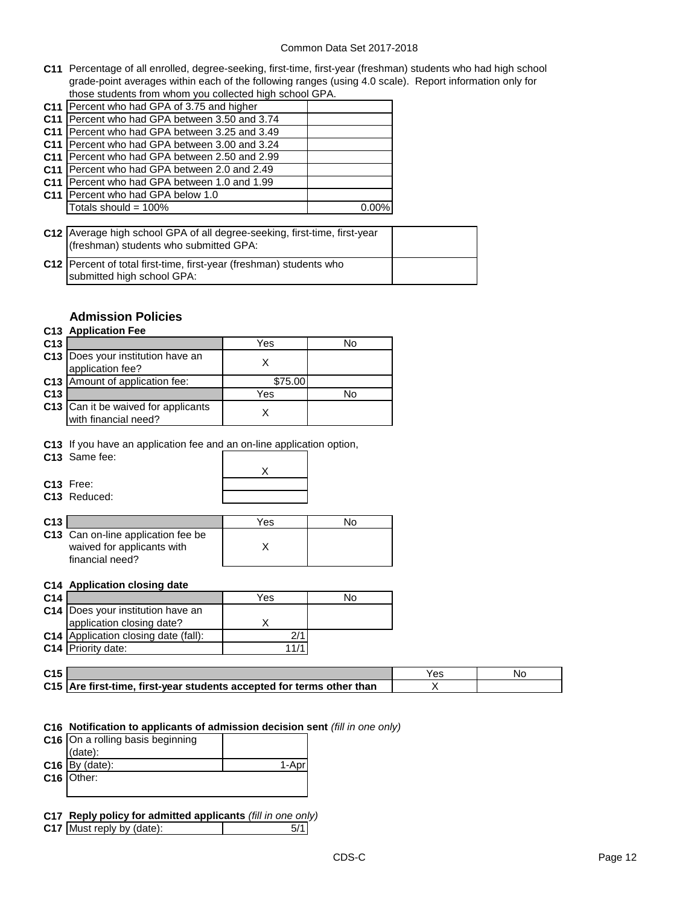**C11** Percentage of all enrolled, degree-seeking, first-time, first-year (freshman) students who had high school grade-point averages within each of the following ranges (using 4.0 scale). Report information only for those students from whom you collected high school GPA.

| C11   Percent who had GPA of 3.75 and higher    |  |
|-------------------------------------------------|--|
| C11   Percent who had GPA between 3.50 and 3.74 |  |
| C11   Percent who had GPA between 3.25 and 3.49 |  |
| C11   Percent who had GPA between 3.00 and 3.24 |  |
| C11   Percent who had GPA between 2.50 and 2.99 |  |
| C11 Percent who had GPA between 2.0 and 2.49    |  |
| C11 Percent who had GPA between 1.0 and 1.99    |  |
| C11 Percent who had GPA below 1.0               |  |
| Totals should = 100%                            |  |

| C12 Average high school GPA of all degree-seeking, first-time, first-year<br>(freshman) students who submitted GPA: |  |
|---------------------------------------------------------------------------------------------------------------------|--|
| C12   Percent of total first-time, first-year (freshman) students who                                               |  |
| submitted high school GPA:                                                                                          |  |

## **Admission Policies**

## **C13 Application Fee**

| C <sub>13</sub> |                                                             | Yes     | No |
|-----------------|-------------------------------------------------------------|---------|----|
|                 | C13   Does your institution have an<br>application fee?     |         |    |
|                 | C13 Amount of application fee:                              | \$75.00 |    |
| C <sub>13</sub> |                                                             | Yes     | No |
|                 | C13 Can it be waived for applicants<br>with financial need? |         |    |

**C13** If you have an application fee and an on-line application option,

| C <sub>13</sub> Same fee: |  |
|---------------------------|--|
|                           |  |
| $C13$ Free:               |  |
| <b>C13</b> Reduced:       |  |

| C <sub>13</sub> |                                    | Yes | N٥ |
|-----------------|------------------------------------|-----|----|
|                 | C13 Can on-line application fee be |     |    |
|                 | waived for applicants with         |     |    |
|                 | financial need?                    |     |    |

## **C14 Application closing date**

| C <sub>14</sub> |                                      | Yes  | No |
|-----------------|--------------------------------------|------|----|
|                 | C14   Does your institution have an  |      |    |
|                 | application closing date?            |      |    |
|                 | C14 Application closing date (fall): |      |    |
|                 | C14 Priority date:                   | 11/1 |    |

| C <sub>15</sub> |                                                                       | Nc |
|-----------------|-----------------------------------------------------------------------|----|
|                 | C15 Are first-time, first-year students accepted for terms other than |    |

#### **C16 Notification to applicants of admission decision sent** *(fill in one only)*

| $C16$ On a rolling basis beginning |  |
|------------------------------------|--|
| $(data)$ :                         |  |
| $C16$ By (date):                   |  |
| C16 Other:                         |  |
|                                    |  |

**C17 Reply policy for admitted applicants** *(fill in one only)*

**C17** Must reply by (date): 5/1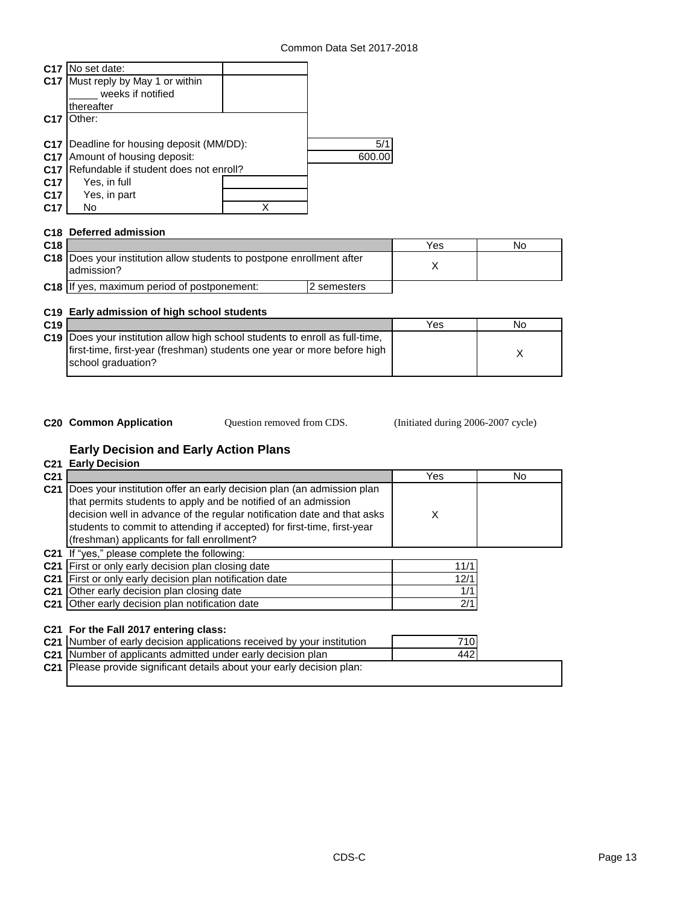| C17             | No set date:                           |       |
|-----------------|----------------------------------------|-------|
| C <sub>17</sub> | Must reply by May 1 or within          |       |
|                 | weeks if notified                      |       |
|                 | thereafter                             |       |
| C <sub>17</sub> | :Dther:                                |       |
|                 |                                        |       |
| C <sub>17</sub> | Deadline for housing deposit (MM/DD):  | 5/1   |
| C <sub>17</sub> | Amount of housing deposit:             | 600.C |
| C <sub>17</sub> | Refundable if student does not enroll? |       |
| C <sub>17</sub> | Yes, in full                           |       |
| C <sub>17</sub> | Yes, in part                           |       |
| C17             | No                                     |       |

## **C18 Deferred admission**

| C <sub>18</sub> |                                                                                       |             | Yes | No |
|-----------------|---------------------------------------------------------------------------------------|-------------|-----|----|
|                 | C18  Does your institution allow students to postpone enrollment after<br>ladmission? |             |     |    |
|                 | <b>C18</b> If yes, maximum period of postponement:                                    | 2 semesters |     |    |

## **C19 Early admission of high school students**

| C19 |                                                                                                                                                                | Yes | No |
|-----|----------------------------------------------------------------------------------------------------------------------------------------------------------------|-----|----|
|     | <b>C19</b> Does your institution allow high school students to enroll as full-time,<br>first-time, first-year (freshman) students one year or more before high |     |    |
|     | school graduation?                                                                                                                                             |     |    |

Question removed from CDS.

**C20 Common Application Question removed from CDS.** (Initiated during 2006-2007 cycle)

## **Early Decision and Early Action Plans**

|                 | <b>C21 Early Decision</b>                                                                                                                                                                                                                                                                                                                   |      |     |
|-----------------|---------------------------------------------------------------------------------------------------------------------------------------------------------------------------------------------------------------------------------------------------------------------------------------------------------------------------------------------|------|-----|
| C <sub>21</sub> |                                                                                                                                                                                                                                                                                                                                             | Yes  | No. |
| C <sub>21</sub> | Does your institution offer an early decision plan (an admission plan<br>that permits students to apply and be notified of an admission<br>decision well in advance of the regular notification date and that asks<br>students to commit to attending if accepted) for first-time, first-year<br>(freshman) applicants for fall enrollment? | X    |     |
|                 | C21 If "yes," please complete the following:                                                                                                                                                                                                                                                                                                |      |     |
|                 | C21 First or only early decision plan closing date                                                                                                                                                                                                                                                                                          | 11/1 |     |
|                 | C21 First or only early decision plan notification date                                                                                                                                                                                                                                                                                     | 12/1 |     |
|                 | C21 Other early decision plan closing date                                                                                                                                                                                                                                                                                                  | 1/1  |     |
|                 | C21 Other early decision plan notification date                                                                                                                                                                                                                                                                                             | 2/1  |     |
|                 | C21 For the Fall 2017 entering class:                                                                                                                                                                                                                                                                                                       |      |     |
|                 | C21 Number of early decision applications received by your institution                                                                                                                                                                                                                                                                      | 710  |     |
|                 | <b>C21</b> Number of applicants admitted under early decision plan                                                                                                                                                                                                                                                                          | 442  |     |
|                 | C21 Please provide significant details about your early decision plan:                                                                                                                                                                                                                                                                      |      |     |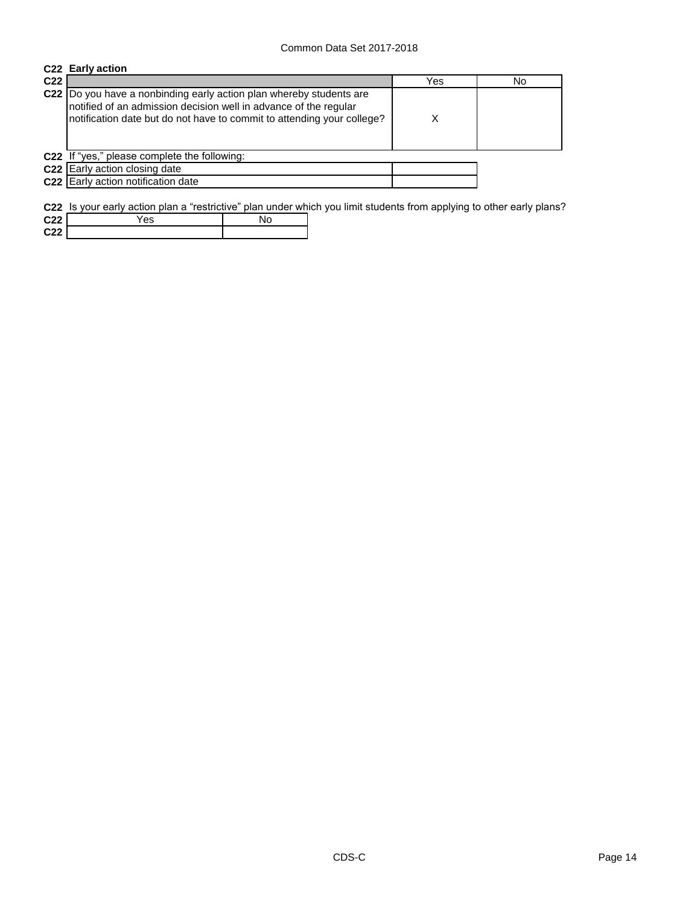|                 | C22 Early action                                                                                                                                                                                                   |     |     |
|-----------------|--------------------------------------------------------------------------------------------------------------------------------------------------------------------------------------------------------------------|-----|-----|
| C <sub>22</sub> |                                                                                                                                                                                                                    | Yes | No. |
|                 | C22  Do you have a nonbinding early action plan whereby students are<br>notified of an admission decision well in advance of the regular<br>notification date but do not have to commit to attending your college? | х   |     |
|                 | C22 If "yes," please complete the following:                                                                                                                                                                       |     |     |
|                 | <b>C22</b> Early action closing date                                                                                                                                                                               |     |     |
|                 | C22 Early action notification date                                                                                                                                                                                 |     |     |

**C22** Is your early action plan a "restrictive" plan under which you limit students from applying to other early plans?

| C <sub>22</sub> | 'es |  |
|-----------------|-----|--|
| C <sub>22</sub> |     |  |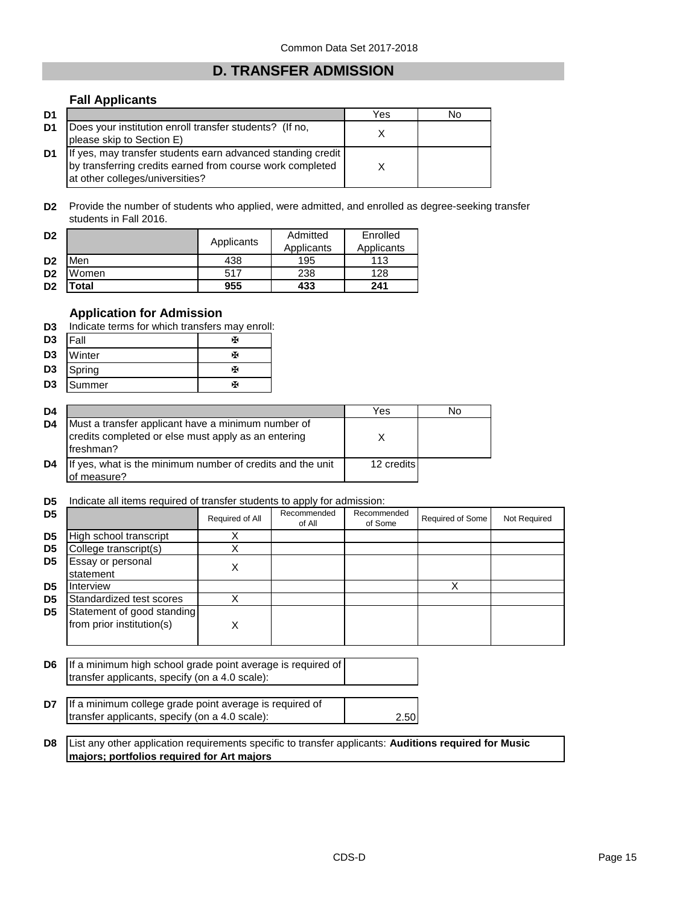## **D. TRANSFER ADMISSION**

## **Fall Applicants**

| D1 |                                                                                                                                                               | Yes | No |
|----|---------------------------------------------------------------------------------------------------------------------------------------------------------------|-----|----|
| D1 | Does your institution enroll transfer students? (If no,<br>please skip to Section E)                                                                          |     |    |
| D1 | If yes, may transfer students earn advanced standing credit  <br>by transferring credits earned from course work completed<br>at other colleges/universities? |     |    |

**D2** Provide the number of students who applied, were admitted, and enrolled as degree-seeking transfer students in Fall 2016.

| D <sub>2</sub> |             |            | Admitted   | Enrolled   |
|----------------|-------------|------------|------------|------------|
|                |             | Applicants | Applicants | Applicants |
| D <sub>2</sub> | Men         | 438        | 195        | 113        |
| D <sub>2</sub> | Women       | 517        | 238        | 128        |
| D <sub>2</sub> | <b>otal</b> | 955        | 433        | 241        |

## **Application for Admission**

| D3             | Indicate terms for which transfers may enroll: |   |  |  |
|----------------|------------------------------------------------|---|--|--|
| D <sub>3</sub> | <b>IFall</b>                                   | х |  |  |
| D <sub>3</sub> | Winter                                         | Ж |  |  |
| D <sub>3</sub> | Spring                                         | х |  |  |
| D <sub>3</sub> | Summer                                         | ж |  |  |

| D4             |                                                                                                                         | Yes        | No |
|----------------|-------------------------------------------------------------------------------------------------------------------------|------------|----|
| D4             | Must a transfer applicant have a minimum number of<br>credits completed or else must apply as an entering<br>Ifreshman? |            |    |
| D <sub>4</sub> | If yes, what is the minimum number of credits and the unit<br>of measure?                                               | 12 credits |    |

#### **D5** Indicate all items required of transfer students to apply for admission:

|                |                                                                                                               |                 | .                     |                        |                         |              |
|----------------|---------------------------------------------------------------------------------------------------------------|-----------------|-----------------------|------------------------|-------------------------|--------------|
| D <sub>5</sub> |                                                                                                               | Required of All | Recommended<br>of All | Recommended<br>of Some | <b>Required of Some</b> | Not Required |
| D <sub>5</sub> | High school transcript                                                                                        | Χ               |                       |                        |                         |              |
| D <sub>5</sub> | College transcript(s)                                                                                         |                 |                       |                        |                         |              |
| D <sub>5</sub> | Essay or personal<br>statement                                                                                | X               |                       |                        |                         |              |
| D <sub>5</sub> | Interview                                                                                                     |                 |                       |                        | X                       |              |
| D <sub>5</sub> | Standardized test scores                                                                                      |                 |                       |                        |                         |              |
| D <sub>5</sub> | Statement of good standing<br>from prior institution(s)                                                       | х               |                       |                        |                         |              |
| D <sub>6</sub> | If a minimum high school grade point average is required of<br>transfer applicants, specify (on a 4.0 scale): |                 |                       |                        |                         |              |
| דח             | If a minimum college grade point average is required of                                                       |                 |                       |                        |                         |              |

| $\overline{D7}$ If a minimum college grade point average is required of |  |
|-------------------------------------------------------------------------|--|
| transfer applicants, specify (on a 4.0 scale):                          |  |

**D8** List any other application requirements specific to transfer applicants: **Auditions required for Music majors; portfolios required for Art majors**

2.50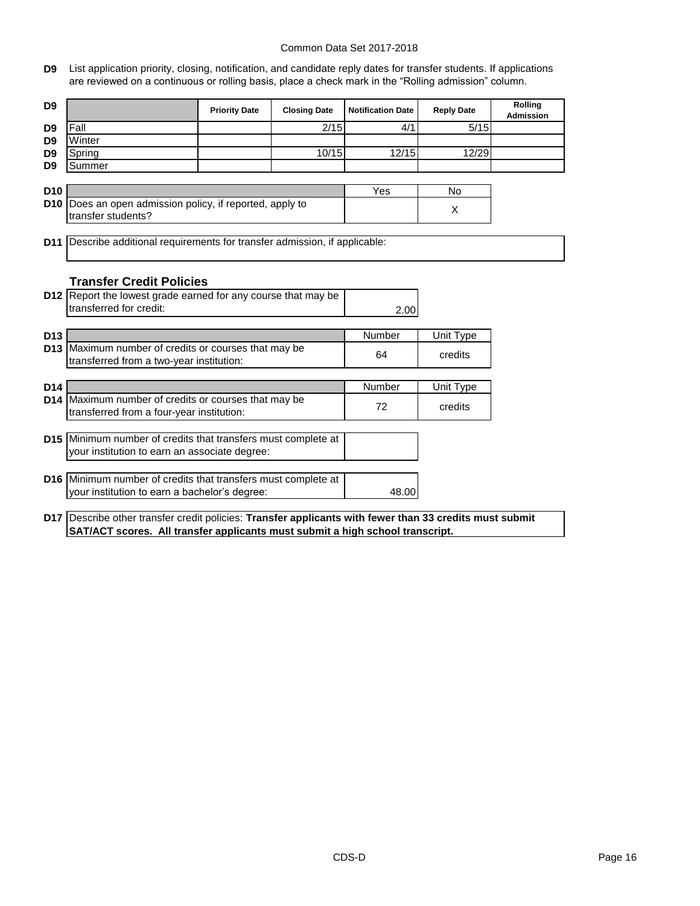**D9** List application priority, closing, notification, and candidate reply dates for transfer students. If applications are reviewed on a continuous or rolling basis, place a check mark in the "Rolling admission" column.

| D <sub>9</sub>  |                                                                                                                                            | <b>Priority Date</b> | <b>Closing Date</b> | <b>Notification Date</b> | <b>Reply Date</b> | Rolling<br><b>Admission</b> |
|-----------------|--------------------------------------------------------------------------------------------------------------------------------------------|----------------------|---------------------|--------------------------|-------------------|-----------------------------|
| D <sub>9</sub>  | Fall                                                                                                                                       |                      | 2/15                | 4/1                      | 5/15              |                             |
| D <sub>9</sub>  | Winter                                                                                                                                     |                      |                     |                          |                   |                             |
| D <sub>9</sub>  | Spring                                                                                                                                     |                      | 10/15               | 12/15                    | 12/29             |                             |
| D <sub>9</sub>  | Summer                                                                                                                                     |                      |                     |                          |                   |                             |
|                 |                                                                                                                                            |                      |                     |                          |                   |                             |
| D <sub>10</sub> |                                                                                                                                            |                      |                     | Yes                      | No                |                             |
| D <sub>10</sub> | Does an open admission policy, if reported, apply to                                                                                       |                      |                     |                          | X                 |                             |
|                 | transfer students?                                                                                                                         |                      |                     |                          |                   |                             |
|                 |                                                                                                                                            |                      |                     |                          |                   |                             |
| D <sub>11</sub> | Describe additional requirements for transfer admission, if applicable:                                                                    |                      |                     |                          |                   |                             |
|                 |                                                                                                                                            |                      |                     |                          |                   |                             |
|                 |                                                                                                                                            |                      |                     |                          |                   |                             |
|                 | <b>Transfer Credit Policies</b>                                                                                                            |                      |                     |                          |                   |                             |
|                 | D12 Report the lowest grade earned for any course that may be<br>transferred for credit:                                                   |                      |                     |                          |                   |                             |
|                 |                                                                                                                                            |                      |                     | 2.00                     |                   |                             |
| D <sub>13</sub> |                                                                                                                                            |                      |                     | Number                   |                   |                             |
| D <sub>13</sub> | Maximum number of credits or courses that may be                                                                                           |                      |                     |                          | Unit Type         |                             |
|                 | transferred from a two-year institution:                                                                                                   |                      |                     | 64                       | credits           |                             |
|                 |                                                                                                                                            |                      |                     |                          |                   |                             |
| D14             |                                                                                                                                            |                      |                     | Number                   | Unit Type         |                             |
|                 | D14 Maximum number of credits or courses that may be                                                                                       |                      |                     |                          |                   |                             |
|                 | transferred from a four-year institution:                                                                                                  |                      |                     | 72                       | credits           |                             |
|                 |                                                                                                                                            |                      |                     |                          |                   |                             |
|                 | D15 Minimum number of credits that transfers must complete at                                                                              |                      |                     |                          |                   |                             |
|                 | your institution to earn an associate degree:                                                                                              |                      |                     |                          |                   |                             |
|                 |                                                                                                                                            |                      |                     |                          |                   |                             |
|                 | D16 Minimum number of credits that transfers must complete at                                                                              |                      |                     |                          |                   |                             |
|                 | your institution to earn a bachelor's degree:                                                                                              |                      |                     | 48.00                    |                   |                             |
|                 |                                                                                                                                            |                      |                     |                          |                   |                             |
|                 | $\sim$ 4 $\pm$ 1 $\sim$ 10 $\sim$ 100 $\sim$ 100 $\sim$ 100 $\sim$ 100 $\sim$ 100 $\sim$ 100 $\sim$ 100 $\sim$ $\pm$ 100 $\sim$ 100 $\sim$ |                      |                     |                          |                   |                             |

**D17** Describe other transfer credit policies: **Transfer applicants with fewer than 33 credits must submit SAT/ACT scores. All transfer applicants must submit a high school transcript.**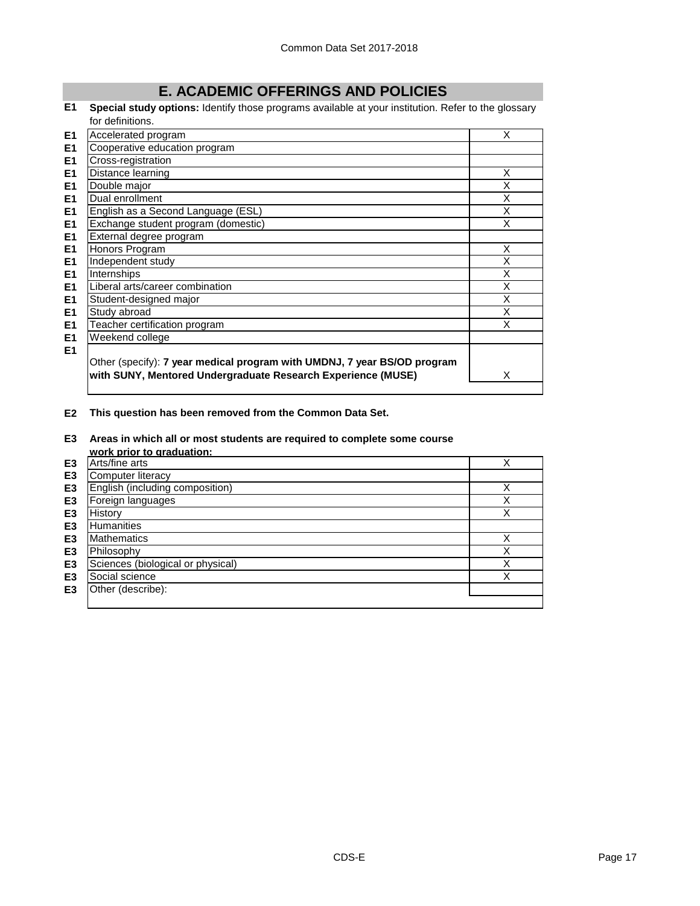# **E. ACADEMIC OFFERINGS AND POLICIES**

**E1 Special study options:** Identify those programs available at your institution. Refer to the glossary for definitions.

| E <sub>1</sub> | Accelerated program                                                                                                                      | X |
|----------------|------------------------------------------------------------------------------------------------------------------------------------------|---|
| E <sub>1</sub> | Cooperative education program                                                                                                            |   |
| E <sub>1</sub> | Cross-registration                                                                                                                       |   |
| E <sub>1</sub> | Distance learning                                                                                                                        | X |
| E1             | Double major                                                                                                                             | X |
| E1             | Dual enrollment                                                                                                                          | Χ |
| E1             | English as a Second Language (ESL)                                                                                                       | X |
| E <sub>1</sub> | Exchange student program (domestic)                                                                                                      | Χ |
| E1             | External degree program                                                                                                                  |   |
| E1             | Honors Program                                                                                                                           | X |
| E1             | Independent study                                                                                                                        | X |
| E1             | Internships                                                                                                                              | Χ |
| E <sub>1</sub> | Liberal arts/career combination                                                                                                          | X |
| E1             | Student-designed major                                                                                                                   | X |
| E <sub>1</sub> | Study abroad                                                                                                                             | X |
| E1             | Teacher certification program                                                                                                            | X |
| E <sub>1</sub> | Weekend college                                                                                                                          |   |
| E1             | Other (specify): 7 year medical program with UMDNJ, 7 year BS/OD program<br>with SUNY, Mentored Undergraduate Research Experience (MUSE) | X |

**E2 This question has been removed from the Common Data Set.**

#### **E3 Areas in which all or most students are required to complete some course work prior to graduation:**

|                | <u>WOI'R DITOL to draudation.</u> |        |
|----------------|-----------------------------------|--------|
| E <sub>3</sub> | Arts/fine arts                    |        |
| E <sub>3</sub> | Computer literacy                 |        |
| E <sub>3</sub> | English (including composition)   | Χ      |
| E <sub>3</sub> | Foreign languages                 | v      |
| E <sub>3</sub> | <b>History</b>                    | Χ      |
| E <sub>3</sub> | <b>Humanities</b>                 |        |
| E <sub>3</sub> | <b>Mathematics</b>                | Χ      |
| E <sub>3</sub> | Philosophy                        | v      |
| E <sub>3</sub> | Sciences (biological or physical) | v<br>⋏ |
| E <sub>3</sub> | Social science                    | Χ      |
| E <sub>3</sub> | Other (describe):                 |        |
|                |                                   |        |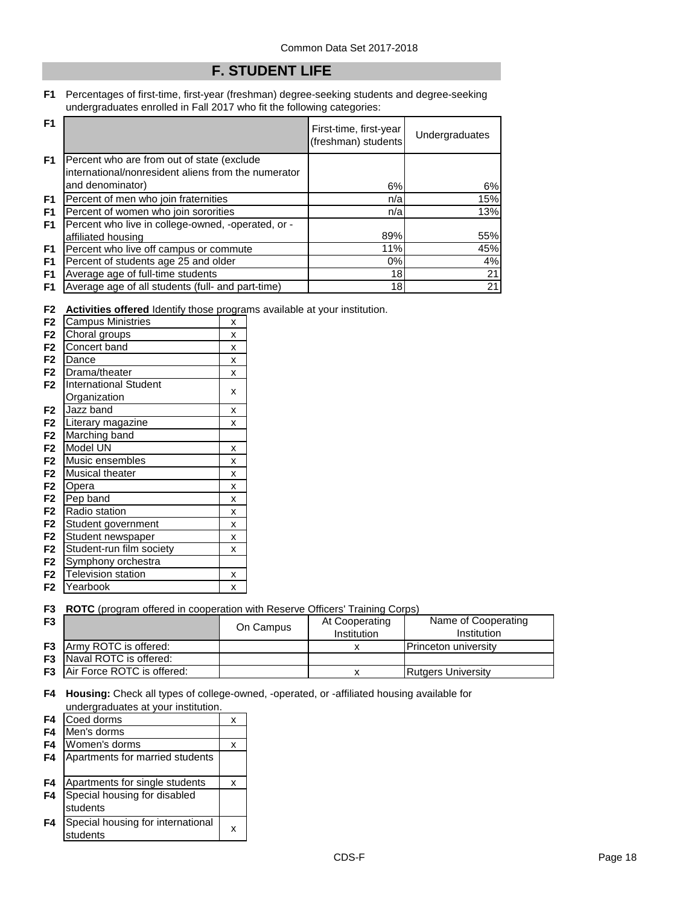## **F. STUDENT LIFE**

#### **F1** Percentages of first-time, first-year (freshman) degree-seeking students and degree-seeking undergraduates enrolled in Fall 2017 who fit the following categories:

| F <sub>1</sub> |                                                                                                   | First-time, first-year<br>(freshman) students | <b>Undergraduates</b> |
|----------------|---------------------------------------------------------------------------------------------------|-----------------------------------------------|-----------------------|
| F <sub>1</sub> | Percent who are from out of state (exclude<br>international/nonresident aliens from the numerator |                                               |                       |
|                | and denominator)                                                                                  | 6%                                            | 6%                    |
| F <sub>1</sub> | Percent of men who join fraternities                                                              | n/a                                           | 15%                   |
| F1             | Percent of women who join sororities                                                              | n/a                                           | 13%                   |
| F <sub>1</sub> | Percent who live in college-owned, -operated, or -                                                |                                               |                       |
|                | affiliated housing                                                                                | 89%                                           | 55%                   |
| F1             | Percent who live off campus or commute                                                            | 11%                                           | 45%                   |
| F <sub>1</sub> | Percent of students age 25 and older                                                              | $0\%$                                         | 4%                    |
| F <sub>1</sub> | Average age of full-time students                                                                 | 18                                            | 21                    |
| F1             | Average age of all students (full- and part-time)                                                 | 18 <sup>1</sup>                               | 21                    |

**F2 Activities offered** Identify those programs available at your institution.

| F <sub>2</sub> | <b>Campus Ministries</b>     | X |
|----------------|------------------------------|---|
| F <sub>2</sub> | Choral groups                | X |
| F <sub>2</sub> | Concert band                 | X |
| F <sub>2</sub> | Dance                        | X |
| F <sub>2</sub> | Drama/theater                | X |
| F <sub>2</sub> | <b>International Student</b> |   |
|                | Organization                 | X |
| F <sub>2</sub> | Jazz band                    | X |
| F <sub>2</sub> | Literary magazine            | X |
| F <sub>2</sub> | Marching band                |   |
| F <sub>2</sub> | Model UN                     | X |
| F <sub>2</sub> | Music ensembles              | X |
| F <sub>2</sub> | Musical theater              | X |
| F <sub>2</sub> | Opera                        | X |
| F <sub>2</sub> | Pep band                     | X |
| F <sub>2</sub> | Radio station                | X |
| F <sub>2</sub> | Student government           | X |
| F <sub>2</sub> | Student newspaper            | X |
| F <sub>2</sub> | Student-run film society     | X |
| F <sub>2</sub> | Symphony orchestra           |   |
| F <sub>2</sub> | <b>Television station</b>    | X |
| F <sub>2</sub> | Yearbook                     | X |
|                |                              |   |

## **F3 ROTC** (program offered in cooperation with Reserve Officers' Training Corps)

| F <sub>3</sub> |                                      | On Campus | At Cooperating<br>Institution | Name of Cooperating<br>Institution |
|----------------|--------------------------------------|-----------|-------------------------------|------------------------------------|
|                | <b>F3</b> Army ROTC is offered:      |           |                               | <b>IPrinceton university</b>       |
| F3             | Naval ROTC is offered:               |           |                               |                                    |
|                | <b>F3</b> Air Force ROTC is offered: |           |                               | <b>Rutgers University</b>          |

**F4 Housing:** Check all types of college-owned, -operated, or -affiliated housing available for undergraduates at your institution.

| F4             | Coed dorms                                    | x |
|----------------|-----------------------------------------------|---|
| F4             | Men's dorms                                   |   |
| F4             | Women's dorms                                 | x |
| F4             | Apartments for married students               |   |
| F4             | Apartments for single students                | X |
| F <sub>4</sub> | Special housing for disabled<br>students      |   |
| F4             | Special housing for international<br>students | x |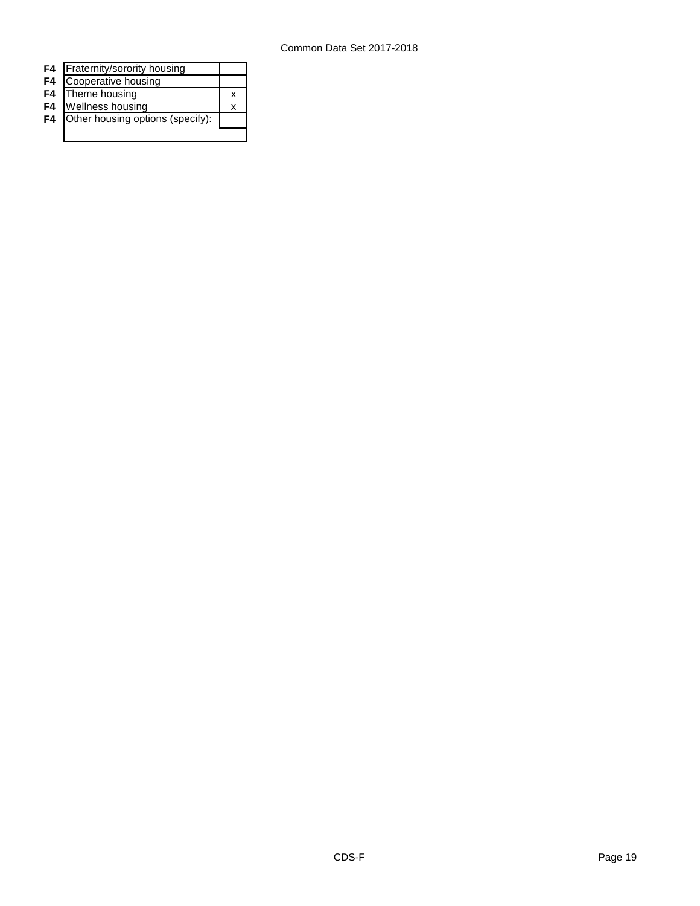| F4             | Fraternity/sorority housing      |  |
|----------------|----------------------------------|--|
| F <sub>4</sub> | Cooperative housing              |  |
| F4             | Theme housing                    |  |
| F <sub>4</sub> | <b>Wellness housing</b>          |  |
| F4             | Other housing options (specify): |  |
|                |                                  |  |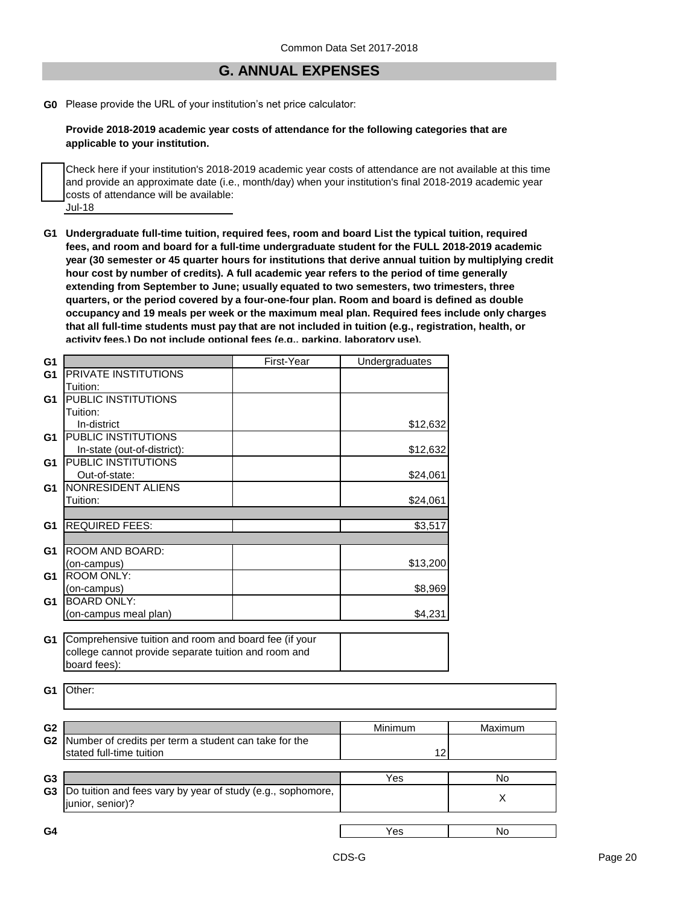## **G. ANNUAL EXPENSES**

**G0** Please provide the URL of your institution's net price calculator:

**Provide 2018-2019 academic year costs of attendance for the following categories that are applicable to your institution.**

Jul-18 Check here if your institution's 2018-2019 academic year costs of attendance are not available at this time and provide an approximate date (i.e., month/day) when your institution's final 2018-2019 academic year costs of attendance will be available:

**G1 Undergraduate full-time tuition, required fees, room and board List the typical tuition, required fees, and room and board for a full-time undergraduate student for the FULL 2018-2019 academic year (30 semester or 45 quarter hours for institutions that derive annual tuition by multiplying credit hour cost by number of credits). A full academic year refers to the period of time generally extending from September to June; usually equated to two semesters, two trimesters, three quarters, or the period covered by a four-one-four plan. Room and board is defined as double occupancy and 19 meals per week or the maximum meal plan. Required fees include only charges that all full-time students must pay that are not included in tuition (e.g., registration, health, or activity fees.) Do not include optional fees (e.g., parking, laboratory use).**

| G <sub>1</sub> |                                                             | First-Year | <b>Undergraduates</b> |         |
|----------------|-------------------------------------------------------------|------------|-----------------------|---------|
| G <sub>1</sub> | <b>PRIVATE INSTITUTIONS</b>                                 |            |                       |         |
|                | Tuition:                                                    |            |                       |         |
| G1             | <b>PUBLIC INSTITUTIONS</b>                                  |            |                       |         |
|                | Tuition:                                                    |            |                       |         |
|                | In-district                                                 |            | \$12,632              |         |
| G <sub>1</sub> | <b>PUBLIC INSTITUTIONS</b>                                  |            |                       |         |
|                | In-state (out-of-district):                                 |            | \$12,632              |         |
| G <sub>1</sub> | <b>PUBLIC INSTITUTIONS</b>                                  |            |                       |         |
|                | Out-of-state:                                               |            | \$24,061              |         |
| G1             | NONRESIDENT ALIENS                                          |            |                       |         |
|                | Tuition:                                                    |            | \$24,061              |         |
|                |                                                             |            |                       |         |
| G <sub>1</sub> | <b>REQUIRED FEES:</b>                                       |            | \$3,517               |         |
|                |                                                             |            |                       |         |
| G1             | <b>ROOM AND BOARD:</b>                                      |            |                       |         |
|                | (on-campus)                                                 |            | \$13,200              |         |
| G <sub>1</sub> | <b>ROOM ONLY:</b>                                           |            |                       |         |
|                | (on-campus)                                                 |            | \$8,969               |         |
| G <sub>1</sub> | <b>BOARD ONLY:</b>                                          |            |                       |         |
|                | (on-campus meal plan)                                       |            | \$4,231               |         |
|                |                                                             |            |                       |         |
| G <sub>1</sub> | Comprehensive tuition and room and board fee (if your       |            |                       |         |
|                | college cannot provide separate tuition and room and        |            |                       |         |
|                | board fees):                                                |            |                       |         |
|                |                                                             |            |                       |         |
| G <sub>1</sub> | Other:                                                      |            |                       |         |
|                |                                                             |            |                       |         |
|                |                                                             |            |                       |         |
| G <sub>2</sub> |                                                             |            | Minimum               | Maximum |
| G <sub>2</sub> | Number of credits per term a student can take for the       |            |                       |         |
|                | stated full-time tuition                                    |            | 12                    |         |
|                |                                                             |            |                       |         |
| G <sub>3</sub> |                                                             |            | Yes                   | No      |
| G <sub>3</sub> | Do tuition and fees vary by year of study (e.g., sophomore, |            |                       |         |
|                | junior, senior)?                                            |            |                       | X       |
|                |                                                             |            |                       |         |
| G4             |                                                             |            | Yes                   | No      |
|                |                                                             |            |                       |         |
|                |                                                             |            |                       |         |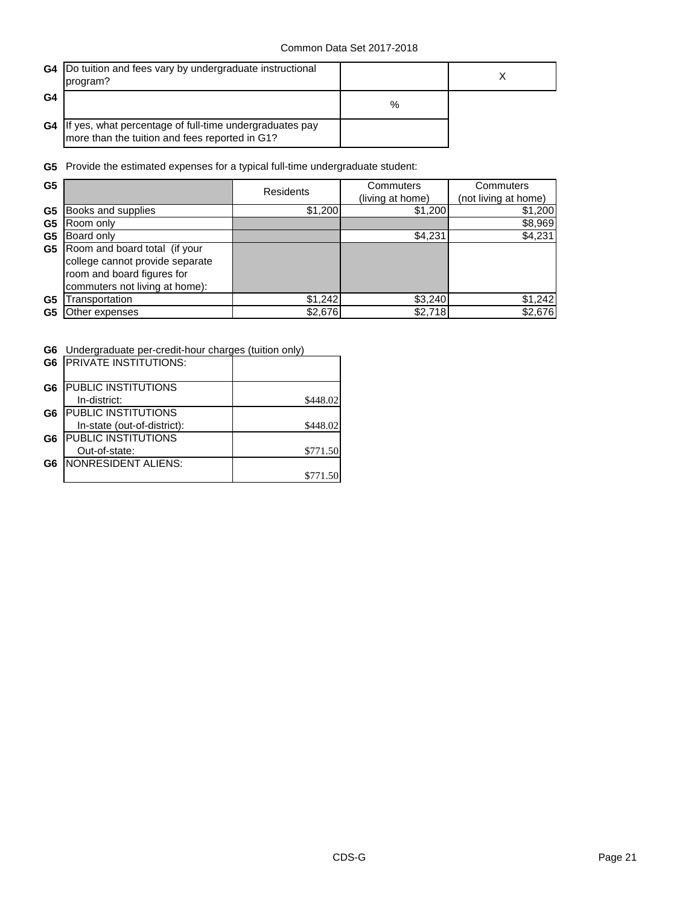|                | G4  Do tuition and fees vary by undergraduate instructional<br>program?                                      |   |  |
|----------------|--------------------------------------------------------------------------------------------------------------|---|--|
| G <sub>4</sub> |                                                                                                              | % |  |
|                | G4 If yes, what percentage of full-time undergraduates pay<br>more than the tuition and fees reported in G1? |   |  |

**G5** Provide the estimated expenses for a typical full-time undergraduate student:

| G <sub>5</sub> |                                 | Residents | Commuters        | Commuters            |
|----------------|---------------------------------|-----------|------------------|----------------------|
|                |                                 |           | (living at home) | (not living at home) |
| G <sub>5</sub> | Books and supplies              | \$1,200   | \$1,200          | \$1,200              |
| G <sub>5</sub> | Room only                       |           |                  | \$8,969              |
| G5             | Board only                      |           | \$4,231          | \$4,231              |
| G5             | Room and board total (if your   |           |                  |                      |
|                | college cannot provide separate |           |                  |                      |
|                | room and board figures for      |           |                  |                      |
|                | commuters not living at home):  |           |                  |                      |
| G <sub>5</sub> | Transportation                  | \$1,242   | \$3,240          | \$1,242              |
| G5             | Other expenses                  | \$2,676   | \$2,718          | \$2,676              |

**G6** Undergraduate per-credit-hour charges (tuition only)

|                | <b>G6 IPRIVATE INSTITUTIONS:</b> |          |
|----------------|----------------------------------|----------|
| G6             | <b>PUBLIC INSTITUTIONS</b>       |          |
|                | In-district:                     | \$448.02 |
| G6             | <b>PUBLIC INSTITUTIONS</b>       |          |
|                | In-state (out-of-district):      | \$448.02 |
| G <sub>6</sub> | <b>PUBLIC INSTITUTIONS</b>       |          |
|                | Out-of-state:                    | \$771.50 |
| G <sub>6</sub> | NONRESIDENT ALIENS:              |          |
|                |                                  | \$771.50 |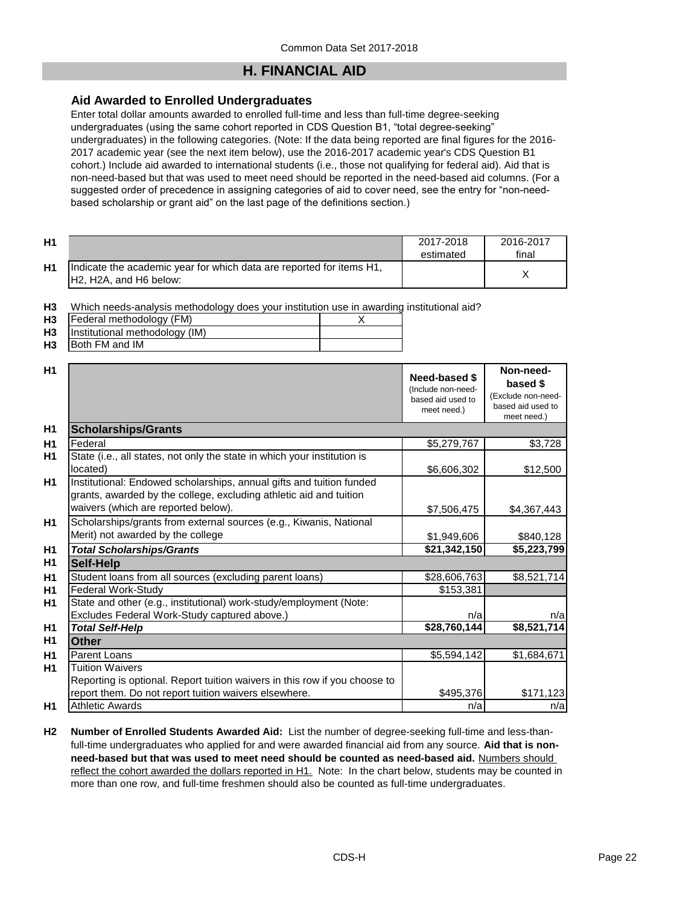## **H. FINANCIAL AID**

## **Aid Awarded to Enrolled Undergraduates**

Enter total dollar amounts awarded to enrolled full-time and less than full-time degree-seeking undergraduates (using the same cohort reported in CDS Question B1, "total degree-seeking" undergraduates) in the following categories. (Note: If the data being reported are final figures for the 2016- 2017 academic year (see the next item below), use the 2016-2017 academic year's CDS Question B1 cohort.) Include aid awarded to international students (i.e., those not qualifying for federal aid). Aid that is non-need-based but that was used to meet need should be reported in the need-based aid columns. (For a suggested order of precedence in assigning categories of aid to cover need, see the entry for "non-needbased scholarship or grant aid" on the last page of the definitions section.)

| H1 |                                                                                                                                      | 2017-2018<br>estimated | 2016-2017<br>final |
|----|--------------------------------------------------------------------------------------------------------------------------------------|------------------------|--------------------|
| H1 | Indicate the academic year for which data are reported for items H1,<br>H <sub>2</sub> , H <sub>2</sub> A, and H <sub>6</sub> below: |                        |                    |

**H3** Which needs-analysis methodology does your institution use in awarding institutional aid?

| <b>H3</b> | Federal methodology (FM)            |  |
|-----------|-------------------------------------|--|
|           | H3   Institutional methodology (IM) |  |
| <b>H3</b> | <b>Both FM and IM</b>               |  |

| H1             |                                                                                                                                                                                   | <b>Need-based \$</b><br>(Include non-need-<br>based aid used to<br>meet need.) | Non-need-<br>based \$<br>(Exclude non-need-<br>based aid used to<br>meet need.) |
|----------------|-----------------------------------------------------------------------------------------------------------------------------------------------------------------------------------|--------------------------------------------------------------------------------|---------------------------------------------------------------------------------|
| H <sub>1</sub> | <b>Scholarships/Grants</b>                                                                                                                                                        |                                                                                |                                                                                 |
| H1             | Federal                                                                                                                                                                           | \$5,279,767                                                                    | \$3,728                                                                         |
| H1             | State (i.e., all states, not only the state in which your institution is<br>located)                                                                                              | \$6,606,302                                                                    | \$12,500                                                                        |
| H1             | Institutional: Endowed scholarships, annual gifts and tuition funded<br>grants, awarded by the college, excluding athletic aid and tuition<br>waivers (which are reported below). | \$7,506,475                                                                    | \$4,367,443                                                                     |
| H1             | Scholarships/grants from external sources (e.g., Kiwanis, National<br>Merit) not awarded by the college                                                                           | \$1,949,606                                                                    | \$840,128                                                                       |
| H1             | <b>Total Scholarships/Grants</b>                                                                                                                                                  | \$21,342,150                                                                   | \$5,223,799                                                                     |
| H <sub>1</sub> | <b>Self-Help</b>                                                                                                                                                                  |                                                                                |                                                                                 |
| H1             | Student loans from all sources (excluding parent loans)                                                                                                                           | \$28,606,763                                                                   | \$8,521,714                                                                     |
| H1             | Federal Work-Study                                                                                                                                                                | \$153,381                                                                      |                                                                                 |
| H1             | State and other (e.g., institutional) work-study/employment (Note:                                                                                                                |                                                                                |                                                                                 |
|                | Excludes Federal Work-Study captured above.)                                                                                                                                      | n/a                                                                            | n/a                                                                             |
| H <sub>1</sub> | <b>Total Self-Help</b>                                                                                                                                                            | \$28,760,144                                                                   | \$8,521,714                                                                     |
| H1             | <b>Other</b>                                                                                                                                                                      |                                                                                |                                                                                 |
| H1             | <b>Parent Loans</b>                                                                                                                                                               | \$5,594,142                                                                    | \$1,684,671                                                                     |
| H1             | <b>Tuition Waivers</b><br>Reporting is optional. Report tuition waivers in this row if you choose to                                                                              |                                                                                |                                                                                 |
|                | report them. Do not report tuition waivers elsewhere.                                                                                                                             | \$495,376                                                                      | \$171,123                                                                       |
| H1             | <b>Athletic Awards</b>                                                                                                                                                            | n/a                                                                            | n/a                                                                             |

**H2 Number of Enrolled Students Awarded Aid:** List the number of degree-seeking full-time and less-thanfull-time undergraduates who applied for and were awarded financial aid from any source. **Aid that is nonneed-based but that was used to meet need should be counted as need-based aid.** Numbers should reflect the cohort awarded the dollars reported in H1. Note: In the chart below, students may be counted in more than one row, and full-time freshmen should also be counted as full-time undergraduates.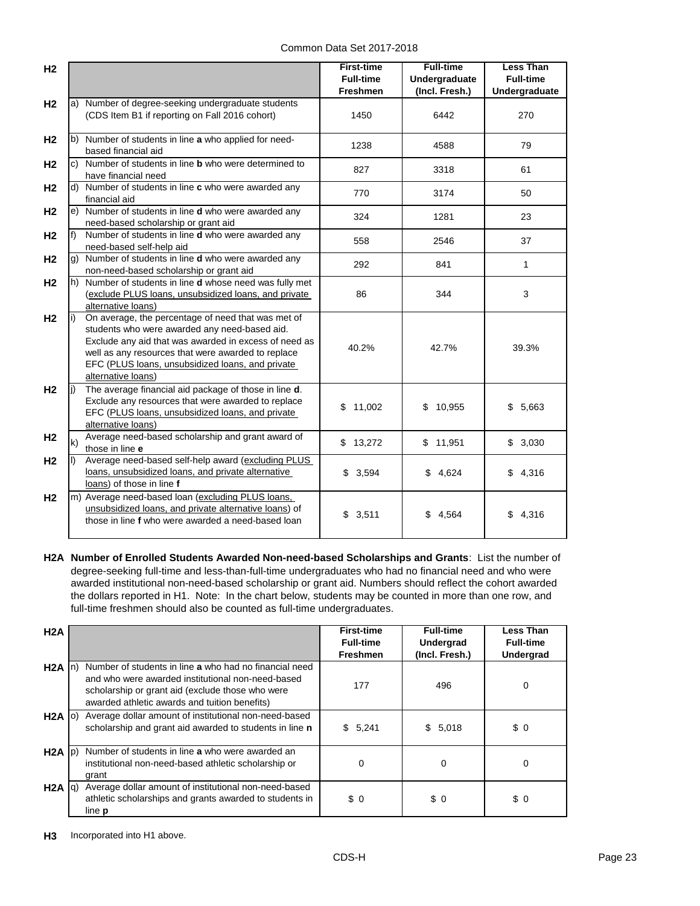| H <sub>2</sub> |      |                                                                                                                                                                                                                                                                                              | <b>First-time</b><br><b>Full-time</b><br><b>Freshmen</b> | <b>Full-time</b><br><b>Undergraduate</b><br>(Incl. Fresh.) | <b>Less Than</b><br><b>Full-time</b><br>Undergraduate |
|----------------|------|----------------------------------------------------------------------------------------------------------------------------------------------------------------------------------------------------------------------------------------------------------------------------------------------|----------------------------------------------------------|------------------------------------------------------------|-------------------------------------------------------|
| H <sub>2</sub> |      | a) Number of degree-seeking undergraduate students<br>(CDS Item B1 if reporting on Fall 2016 cohort)                                                                                                                                                                                         | 1450                                                     | 6442                                                       | 270                                                   |
| H <sub>2</sub> |      | b) Number of students in line a who applied for need-<br>based financial aid                                                                                                                                                                                                                 | 1238                                                     | 4588                                                       | 79                                                    |
| H <sub>2</sub> |      | c) Number of students in line <b>b</b> who were determined to<br>have financial need                                                                                                                                                                                                         | 827                                                      | 3318                                                       | 61                                                    |
| H <sub>2</sub> |      | d) Number of students in line c who were awarded any<br>financial aid                                                                                                                                                                                                                        | 770                                                      | 3174                                                       | 50                                                    |
| H <sub>2</sub> |      | e) Number of students in line d who were awarded any<br>need-based scholarship or grant aid                                                                                                                                                                                                  | 324                                                      | 1281                                                       | 23                                                    |
| H <sub>2</sub> | f)   | Number of students in line d who were awarded any<br>need-based self-help aid                                                                                                                                                                                                                | 558                                                      | 2546                                                       | 37                                                    |
| H <sub>2</sub> |      | g) Number of students in line d who were awarded any<br>non-need-based scholarship or grant aid                                                                                                                                                                                              | 292                                                      | 841                                                        | 1                                                     |
| H <sub>2</sub> |      | h) Number of students in line d whose need was fully met<br>(exclude PLUS loans, unsubsidized loans, and private<br>alternative loans)                                                                                                                                                       | 86                                                       | 344                                                        | 3                                                     |
| H <sub>2</sub> | li). | On average, the percentage of need that was met of<br>students who were awarded any need-based aid.<br>Exclude any aid that was awarded in excess of need as<br>well as any resources that were awarded to replace<br>EFC (PLUS loans, unsubsidized loans, and private<br>alternative loans) | 40.2%                                                    | 42.7%                                                      | 39.3%                                                 |
| H <sub>2</sub> |      | The average financial aid package of those in line d.<br>Exclude any resources that were awarded to replace<br>EFC (PLUS loans, unsubsidized loans, and private<br>alternative loans)                                                                                                        | \$<br>11,002                                             | \$10,955                                                   | \$<br>5,663                                           |
| H <sub>2</sub> | k)   | Average need-based scholarship and grant award of<br>those in line e                                                                                                                                                                                                                         | \$13,272                                                 | \$11,951                                                   | \$3,030                                               |
| H <sub>2</sub> | II)  | Average need-based self-help award (excluding PLUS<br>loans, unsubsidized loans, and private alternative<br>loans) of those in line f                                                                                                                                                        | \$3,594                                                  | \$4,624                                                    | \$4,316                                               |
| H <sub>2</sub> |      | m) Average need-based loan (excluding PLUS loans,<br>unsubsidized loans, and private alternative loans) of<br>those in line f who were awarded a need-based loan                                                                                                                             | \$3,511                                                  | 4,564                                                      | \$4,316                                               |

**H2A Number of Enrolled Students Awarded Non-need-based Scholarships and Grants**: List the number of degree-seeking full-time and less-than-full-time undergraduates who had no financial need and who were awarded institutional non-need-based scholarship or grant aid. Numbers should reflect the cohort awarded the dollars reported in H1. Note: In the chart below, students may be counted in more than one row, and full-time freshmen should also be counted as full-time undergraduates.

| H2A               |                                                                                                                                                                                                                  | <b>First-time</b><br><b>Full-time</b><br><b>Freshmen</b> | <b>Full-time</b><br><b>Undergrad</b><br>(Incl. Fresh.) | <b>Less Than</b><br><b>Full-time</b><br><b>Undergrad</b> |
|-------------------|------------------------------------------------------------------------------------------------------------------------------------------------------------------------------------------------------------------|----------------------------------------------------------|--------------------------------------------------------|----------------------------------------------------------|
| $H2A \ln$         | Number of students in line a who had no financial need<br>and who were awarded institutional non-need-based<br>scholarship or grant aid (exclude those who were<br>awarded athletic awards and tuition benefits) | 177                                                      | 496                                                    | $\Omega$                                                 |
| $H2A$ (o)         | Average dollar amount of institutional non-need-based<br>scholarship and grant aid awarded to students in line n                                                                                                 | \$5,241                                                  | \$5,018                                                | \$0                                                      |
| $H2A$ $ p\rangle$ | Number of students in line a who were awarded an<br>institutional non-need-based athletic scholarship or<br>grant                                                                                                | 0                                                        | 0                                                      | $\Omega$                                                 |
| $H2A$ $ q\rangle$ | Average dollar amount of institutional non-need-based<br>athletic scholarships and grants awarded to students in<br>line <b>p</b>                                                                                | \$0                                                      | \$0                                                    | \$0                                                      |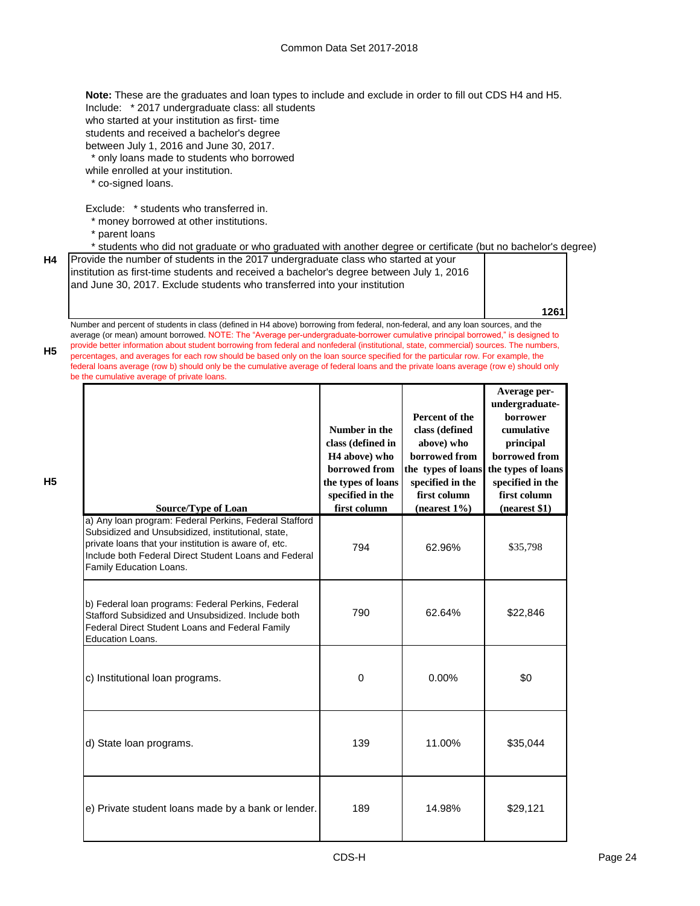Include: \* 2017 undergraduate class: all students who started at your institution as first- time students and received a bachelor's degree between July 1, 2016 and June 30, 2017. \* only loans made to students who borrowed while enrolled at your institution. \* co-signed loans. **Note:** These are the graduates and loan types to include and exclude in order to fill out CDS H4 and H5.

Exclude: \* students who transferred in.

- \* money borrowed at other institutions.
- \* parent loans

\* students who did not graduate or who graduated with another degree or certificate (but no bachelor's degree)

**H4** Provide the number of students in the 2017 undergraduate class who started at your institution as first-time students and received a bachelor's degree between July 1, 2016 and June 30, 2017. Exclude students who transferred into your institution

**1261**

**Average perundergraduate-**

Number and percent of students in class (defined in H4 above) borrowing from federal, non-federal, and any loan sources, and the average (or mean) amount borrowed. NOTE: The "Average per-undergraduate-borrower cumulative principal borrowed," is designed to provide better information about student borrowing from federal and nonfederal (institutional, state, commercial) sources. The numbers, percentages, and averages for each row should be based only on the loan source specified for the particular row. For example, the federal loans average (row b) should only be the cumulative average of federal loans and the private loans average (row e) should only be the cumulative average of private loans.

| n a | I<br>÷            |  |
|-----|-------------------|--|
|     | I<br>×<br>۰,<br>- |  |

**H5**

| <b>Source/Type of Loan</b>                                                                                                                                                                                                                                | Number in the<br>class (defined in<br>H <sub>4</sub> above) who<br>borrowed from<br>the types of loans<br>specified in the<br>first column | Percent of the<br>class (defined<br>above) who<br>borrowed from<br>the types of loans<br>specified in the<br>first column<br>(nearest $1\%$ ) | unuci grauuaic-<br>borrower<br>cumulative<br>principal<br>borrowed from<br>the types of loans<br>specified in the<br>first column<br>(nearest \$1) |
|-----------------------------------------------------------------------------------------------------------------------------------------------------------------------------------------------------------------------------------------------------------|--------------------------------------------------------------------------------------------------------------------------------------------|-----------------------------------------------------------------------------------------------------------------------------------------------|----------------------------------------------------------------------------------------------------------------------------------------------------|
| a) Any loan program: Federal Perkins, Federal Stafford<br>Subsidized and Unsubsidized, institutional, state,<br>private loans that your institution is aware of, etc.<br>Include both Federal Direct Student Loans and Federal<br>Family Education Loans. | 794                                                                                                                                        | 62.96%                                                                                                                                        | \$35,798                                                                                                                                           |
| b) Federal loan programs: Federal Perkins, Federal<br>Stafford Subsidized and Unsubsidized. Include both<br>Federal Direct Student Loans and Federal Family<br>Education Loans.                                                                           | 790                                                                                                                                        | 62.64%                                                                                                                                        | \$22,846                                                                                                                                           |
| c) Institutional loan programs.                                                                                                                                                                                                                           | 0                                                                                                                                          | 0.00%                                                                                                                                         | \$0                                                                                                                                                |
| d) State loan programs.                                                                                                                                                                                                                                   | 139                                                                                                                                        | 11.00%                                                                                                                                        | \$35,044                                                                                                                                           |
| e) Private student loans made by a bank or lender.                                                                                                                                                                                                        | 189                                                                                                                                        | 14.98%                                                                                                                                        | \$29,121                                                                                                                                           |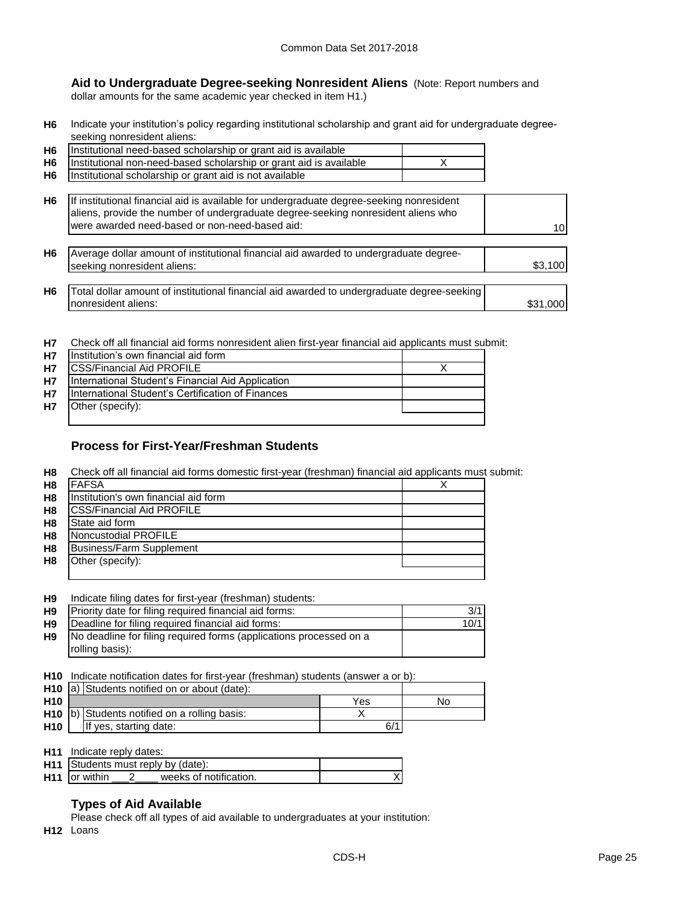**Aid to Undergraduate Degree-seeking Nonresident Aliens** (Note: Report numbers and dollar amounts for the same academic year checked in item H1.)

**H6** Indicate your institution's policy regarding institutional scholarship and grant aid for undergraduate degreeseeking nonresident aliens:

| H <sub>6</sub> | Institutional need-based scholarship or grant aid is available                                                                                                                                                                  |          |
|----------------|---------------------------------------------------------------------------------------------------------------------------------------------------------------------------------------------------------------------------------|----------|
| H <sub>6</sub> | Institutional non-need-based scholarship or grant aid is available                                                                                                                                                              |          |
| H <sub>6</sub> | Institutional scholarship or grant aid is not available                                                                                                                                                                         |          |
| H <sub>6</sub> | If institutional financial aid is available for undergraduate degree-seeking nonresident<br>aliens, provide the number of undergraduate degree-seeking nonresident aliens who<br>were awarded need-based or non-need-based aid: | 10       |
| H <sub>6</sub> | Average dollar amount of institutional financial aid awarded to undergraduate degree-<br>seeking nonresident aliens:                                                                                                            | \$3,100  |
| H <sub>6</sub> | Total dollar amount of institutional financial aid awarded to undergraduate degree-seeking<br>nonresident aliens:                                                                                                               | \$31,000 |

**H7** Check off all financial aid forms nonresident alien first-year financial aid applicants must submit:

| <b>H7</b> | Institution's own financial aid form              |  |
|-----------|---------------------------------------------------|--|
| <b>H7</b> | <b>CSS/Financial Aid PROFILE</b>                  |  |
| <b>H7</b> | International Student's Financial Aid Application |  |
| <b>H7</b> | International Student's Certification of Finances |  |
| <b>H7</b> | Other (specify):                                  |  |
|           |                                                   |  |

## **Process for First-Year/Freshman Students**

**H8** Check off all financial aid forms domestic first-year (freshman) financial aid applicants must submit:

| H <sub>8</sub> | <b>IFAFSA</b>                        |  |
|----------------|--------------------------------------|--|
| H <sub>8</sub> | Institution's own financial aid form |  |
| H <sub>8</sub> | <b>CSS/Financial Aid PROFILE</b>     |  |
| H <sub>8</sub> | State aid form                       |  |
| H <sub>8</sub> | Noncustodial PROFILE                 |  |
| H <sub>8</sub> | <b>Business/Farm Supplement</b>      |  |
| H <sub>8</sub> | Other (specify):                     |  |
|                |                                      |  |

| H <sub>9</sub> | Indicate filing dates for first-year (freshman) students:          |      |
|----------------|--------------------------------------------------------------------|------|
| H <sub>9</sub> | Priority date for filing required financial aid forms:             | 3/1  |
| H <sub>9</sub> | Deadline for filing required financial aid forms:                  | 10/1 |
| H <sub>9</sub> | No deadline for filing required forms (applications processed on a |      |
|                | rolling basis):                                                    |      |

**H10** Indicate notification dates for first-year (freshman) students (answer a or b):

|                 | H <sub>10</sub> a) Students notified on or about (date): |     |    |
|-----------------|----------------------------------------------------------|-----|----|
| H <sub>10</sub> |                                                          | Yes | Nο |
|                 | H10 (b) Students notified on a rolling basis:            |     |    |
| <b>H10</b>      | If yes, starting date:                                   | 6/  |    |

| <b>H11</b> Indicate reply dates:   |
|------------------------------------|
| H11 Students must reply by (date): |

|                      | <b>H</b> 11 Students must reply by (date): |  |
|----------------------|--------------------------------------------|--|
| <b>H11</b> or within | weeks of notification.                     |  |
|                      |                                            |  |

## **Types of Aid Available**

Please check off all types of aid available to undergraduates at your institution:

**H12** Loans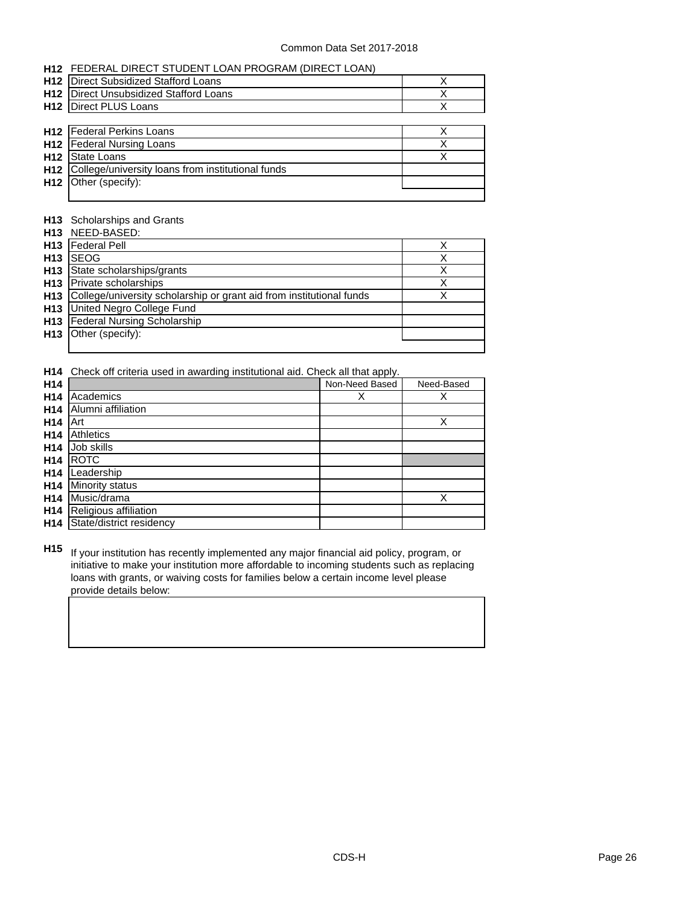|                 | H12 FEDERAL DIRECT STUDENT LOAN PROGRAM (DIRECT LOAN) |   |
|-----------------|-------------------------------------------------------|---|
| H <sub>12</sub> | Direct Subsidized Stafford Loans                      | х |
| H <sub>12</sub> | Direct Unsubsidized Stafford Loans                    | х |
| H <sub>12</sub> | Direct PLUS Loans                                     | х |
|                 |                                                       |   |
| H <sub>12</sub> | <b>Federal Perkins Loans</b>                          | Χ |
| H <sub>12</sub> | <b>Federal Nursing Loans</b>                          | X |
| H <sub>12</sub> | <b>State Loans</b>                                    | Χ |
| H <sub>12</sub> | College/university loans from institutional funds     |   |
| H <sub>12</sub> | Other (specify):                                      |   |
|                 |                                                       |   |

#### **H13** Scholarships and Grants

|                 | H13 NEED-BASED:                                                          |  |
|-----------------|--------------------------------------------------------------------------|--|
|                 | <b>H13</b>   Federal Pell                                                |  |
| H <sub>13</sub> | <b>SEOG</b>                                                              |  |
|                 | H13 State scholarships/grants                                            |  |
|                 | H13   Private scholarships                                               |  |
|                 | H13 College/university scholarship or grant aid from institutional funds |  |
|                 | <b>H13</b> United Negro College Fund                                     |  |
|                 | <b>H13</b> Federal Nursing Scholarship                                   |  |
|                 | H <sub>13</sub>   Other (specify):                                       |  |
|                 |                                                                          |  |

**H14** Check off criteria used in awarding institutional aid. Check all that apply.

| H14             |                          | Non-Need Based | Need-Based |
|-----------------|--------------------------|----------------|------------|
| H <sub>14</sub> | Academics                | Х              | х          |
| H <sub>14</sub> | Alumni affiliation       |                |            |
| H <sub>14</sub> | .<br>Art                 |                | Χ          |
| H <sub>14</sub> | Athletics                |                |            |
| H <sub>14</sub> | Job skills               |                |            |
| H <sub>14</sub> | <b>ROTC</b>              |                |            |
| H <sub>14</sub> | Leadership               |                |            |
| H14             | Minority status          |                |            |
| H <sub>14</sub> | Music/drama              |                | Χ          |
| H <sub>14</sub> | Religious affiliation    |                |            |
| H <sub>14</sub> | State/district residency |                |            |

**H15** If your institution has recently implemented any major financial aid policy, program, or initiative to make your institution more affordable to incoming students such as replacing loans with grants, or waiving costs for families below a certain income level please provide details below: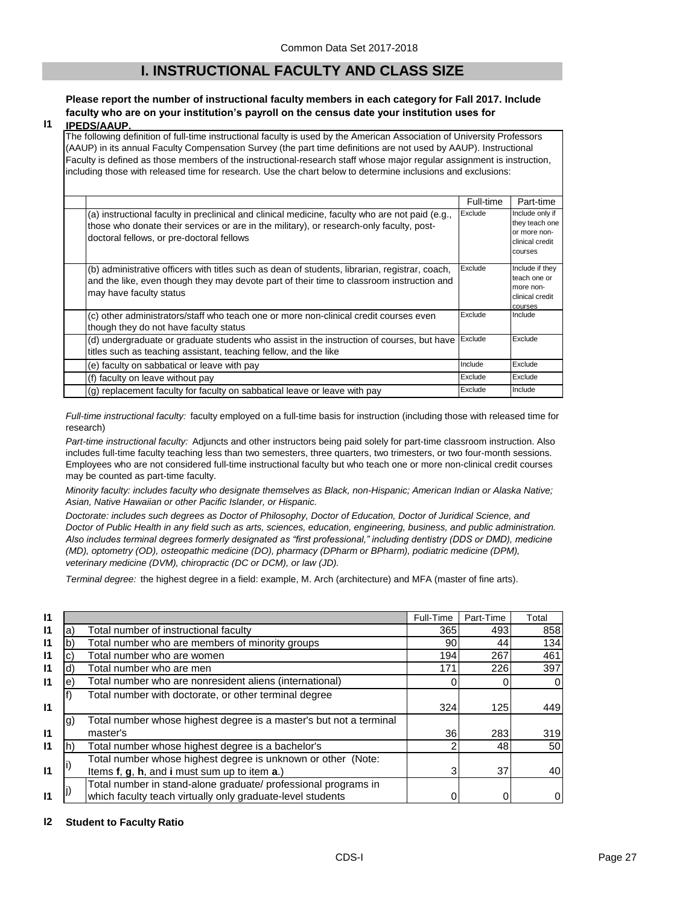## **I. INSTRUCTIONAL FACULTY AND CLASS SIZE**

## **Please report the number of instructional faculty members in each category for Fall 2017. Include faculty who are on your institution's payroll on the census date your institution uses for**

#### **I1 IPEDS/AAUP.**

The following definition of full-time instructional faculty is used by the American Association of University Professors (AAUP) in its annual Faculty Compensation Survey (the part time definitions are not used by AAUP). Instructional Faculty is defined as those members of the instructional-research staff whose major regular assignment is instruction, including those with released time for research. Use the chart below to determine inclusions and exclusions:

|                                                                                                                                                                                                                                          | Full-time | Part-time                                                                       |
|------------------------------------------------------------------------------------------------------------------------------------------------------------------------------------------------------------------------------------------|-----------|---------------------------------------------------------------------------------|
| (a) instructional faculty in preclinical and clinical medicine, faculty who are not paid (e.g.,<br>those who donate their services or are in the military), or research-only faculty, post-<br>doctoral fellows, or pre-doctoral fellows | Exclude   | Include only if<br>they teach one<br>or more non-<br>clinical credit<br>courses |
| (b) administrative officers with titles such as dean of students, librarian, registrar, coach,<br>and the like, even though they may devote part of their time to classroom instruction and<br>may have faculty status                   | Exclude   | Include if they<br>teach one or<br>more non-<br>clinical credit<br>courses      |
| (c) other administrators/staff who teach one or more non-clinical credit courses even<br>though they do not have faculty status                                                                                                          | Exclude   | Include                                                                         |
| (d) undergraduate or graduate students who assist in the instruction of courses, but have<br>titles such as teaching assistant, teaching fellow, and the like                                                                            | Exclude   | Exclude                                                                         |
| (e) faculty on sabbatical or leave with pay                                                                                                                                                                                              | Include   | Exclude                                                                         |
| (f) faculty on leave without pay                                                                                                                                                                                                         | Exclude   | Exclude                                                                         |
| $(q)$ replacement faculty for faculty on sabbatical leave or leave with pay                                                                                                                                                              | Exclude   | Include                                                                         |

*Full-time instructional faculty:* faculty employed on a full-time basis for instruction (including those with released time for research)

*Part-time instructional faculty:* Adjuncts and other instructors being paid solely for part-time classroom instruction. Also includes full-time faculty teaching less than two semesters, three quarters, two trimesters, or two four-month sessions. Employees who are not considered full-time instructional faculty but who teach one or more non-clinical credit courses may be counted as part-time faculty.

*Minority faculty: includes faculty who designate themselves as Black, non-Hispanic; American Indian or Alaska Native; Asian, Native Hawaiian or other Pacific Islander, or Hispanic.* 

*Doctorate: includes such degrees as Doctor of Philosophy, Doctor of Education, Doctor of Juridical Science, and Doctor of Public Health in any field such as arts, sciences, education, engineering, business, and public administration. Also includes terminal degrees formerly designated as "first professional," including dentistry (DDS or DMD), medicine (MD), optometry (OD), osteopathic medicine (DO), pharmacy (DPharm or BPharm), podiatric medicine (DPM), veterinary medicine (DVM), chiropractic (DC or DCM), or law (JD).*

*Terminal degree:* the highest degree in a field: example, M. Arch (architecture) and MFA (master of fine arts).

| 11 |    |                                                                    | Full-Time | Part-Time | Total |
|----|----|--------------------------------------------------------------------|-----------|-----------|-------|
| 11 | a) | Total number of instructional faculty                              | 365       | 493       | 858   |
| 11 | b  | Total number who are members of minority groups                    | 90        | 44        | 134   |
| 11 | C. | Total number who are women                                         | 194       | 267       | 461   |
| 11 | d) | Total number who are men                                           | 171       | 226       | 397   |
| l1 | e) | Total number who are nonresident aliens (international)            |           | 0         |       |
|    |    | Total number with doctorate, or other terminal degree              |           |           |       |
| 11 |    |                                                                    | 324       | 125       | 449   |
|    | g) | Total number whose highest degree is a master's but not a terminal |           |           |       |
| 11 |    | master's                                                           | 36        | 283       | 319   |
| 11 |    | Total number whose highest degree is a bachelor's                  |           | 481       | 50    |
|    |    | Total number whose highest degree is unknown or other (Note:       |           |           |       |
| l1 |    | Items f, g, h, and i must sum up to item a.)                       |           | 37        | 40    |
|    |    | Total number in stand-alone graduate/ professional programs in     |           |           |       |
| 11 |    | which faculty teach virtually only graduate-level students         |           |           |       |

#### **I2 Student to Faculty Ratio**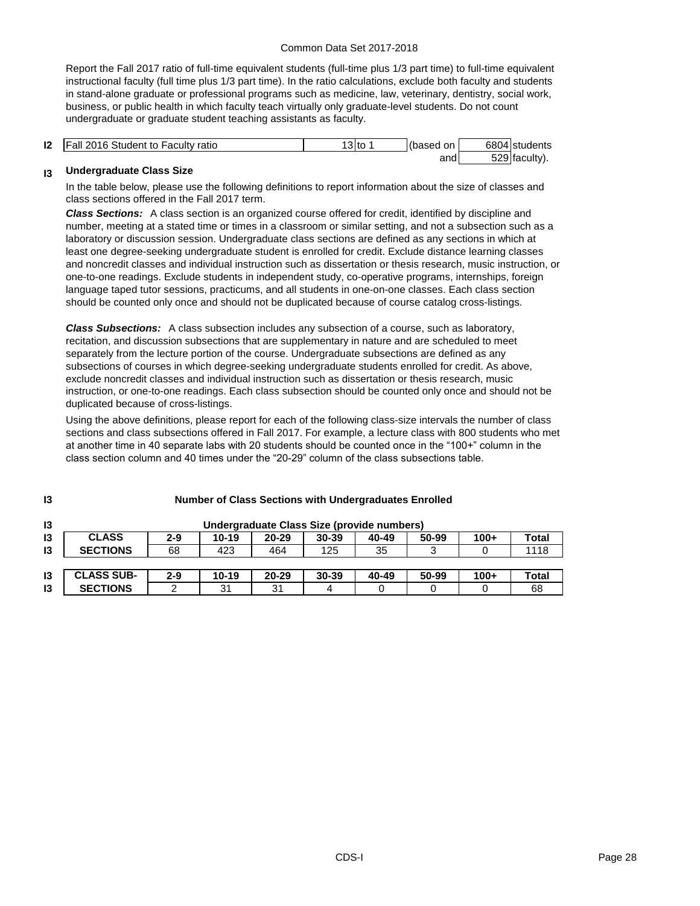Report the Fall 2017 ratio of full-time equivalent students (full-time plus 1/3 part time) to full-time equivalent instructional faculty (full time plus 1/3 part time). In the ratio calculations, exclude both faculty and students in stand-alone graduate or professional programs such as medicine, law, veterinary, dentistry, social work, business, or public health in which faculty teach virtually only graduate-level students. Do not count undergraduate or graduate student teaching assistants as faculty.

| 12 | $\overline{\phantom{a}}$<br>Student to<br>2016<br>IFall<br>∘ Facult∨ ratio | $\sim$ 1.4 $\sim$<br>ι3ιτο | (based<br>on |       | 6804 students  |
|----|----------------------------------------------------------------------------|----------------------------|--------------|-------|----------------|
|    |                                                                            |                            | and          | roo L | 529 Itaculty). |

#### **I3 Undergraduate Class Size**

**I3**

In the table below, please use the following definitions to report information about the size of classes and class sections offered in the Fall 2017 term.

*Class Sections:* A class section is an organized course offered for credit, identified by discipline and number, meeting at a stated time or times in a classroom or similar setting, and not a subsection such as a laboratory or discussion session. Undergraduate class sections are defined as any sections in which at least one degree-seeking undergraduate student is enrolled for credit. Exclude distance learning classes and noncredit classes and individual instruction such as dissertation or thesis research, music instruction, or one-to-one readings. Exclude students in independent study, co-operative programs, internships, foreign language taped tutor sessions, practicums, and all students in one-on-one classes. Each class section should be counted only once and should not be duplicated because of course catalog cross-listings.

*Class Subsections:* A class subsection includes any subsection of a course, such as laboratory, recitation, and discussion subsections that are supplementary in nature and are scheduled to meet separately from the lecture portion of the course. Undergraduate subsections are defined as any subsections of courses in which degree-seeking undergraduate students enrolled for credit. As above, exclude noncredit classes and individual instruction such as dissertation or thesis research, music instruction, or one-to-one readings. Each class subsection should be counted only once and should not be duplicated because of cross-listings.

Using the above definitions, please report for each of the following class-size intervals the number of class sections and class subsections offered in Fall 2017. For example, a lecture class with 800 students who met at another time in 40 separate labs with 20 students should be counted once in the "100+" column in the class section column and 40 times under the "20-29" column of the class subsections table.

| 13 |                   | Undergraduate Class Size (provide numbers) |           |           |       |       |       |        |              |
|----|-------------------|--------------------------------------------|-----------|-----------|-------|-------|-------|--------|--------------|
| 13 | <b>CLASS</b>      | $2 - 9$                                    | $10 - 19$ | $20 - 29$ | 30-39 | 40-49 | 50-99 | $100+$ | <b>Total</b> |
| 13 | <b>SECTIONS</b>   | 68                                         | 423       | 464       | 125   | 35    | ົ     |        | 1118         |
|    |                   |                                            |           |           |       |       |       |        |              |
| 13 | <b>CLASS SUB-</b> | $2 - 9$                                    | $10 - 19$ | $20 - 29$ | 30-39 | 40-49 | 50-99 | $100+$ | <b>Total</b> |
| 13 | <b>SECTIONS</b>   |                                            | 31        | 31        |       |       |       |        | 68           |

#### **Number of Class Sections with Undergraduates Enrolled**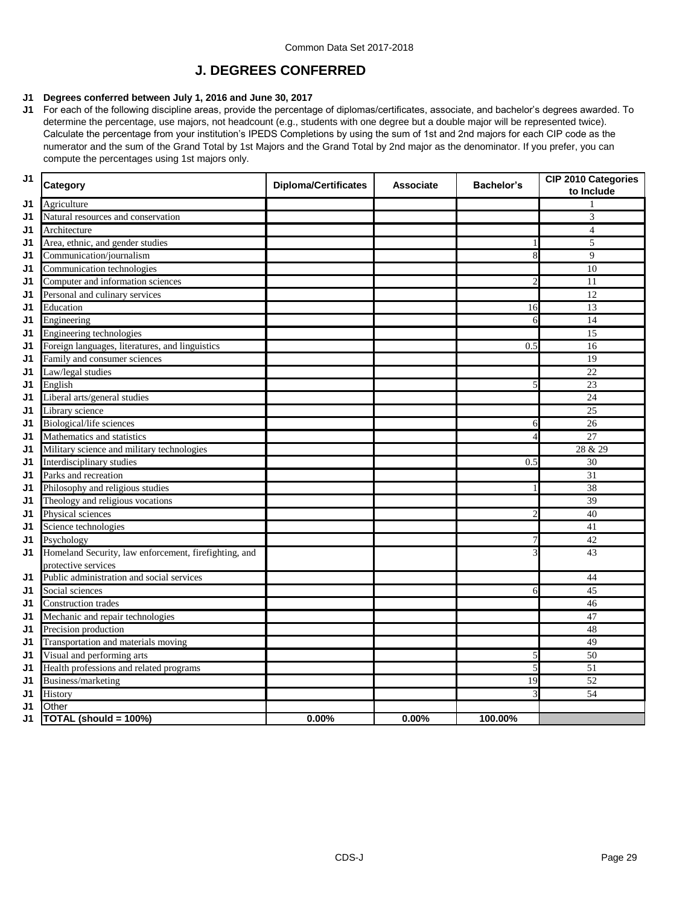## **J. DEGREES CONFERRED**

## **J1 Degrees conferred between July 1, 2016 and June 30, 2017**

**J1** For each of the following discipline areas, provide the percentage of diplomas/certificates, associate, and bachelor's degrees awarded. To determine the percentage, use majors, not headcount (e.g., students with one degree but a double major will be represented twice). Calculate the percentage from your institution's IPEDS Completions by using the sum of 1st and 2nd majors for each CIP code as the numerator and the sum of the Grand Total by 1st Majors and the Grand Total by 2nd major as the denominator. If you prefer, you can compute the percentages using 1st majors only.

| J <sub>1</sub> | Category                                              | <b>Diploma/Certificates</b> | <b>Associate</b> | <b>Bachelor's</b> | <b>CIP 2010 Categories</b><br>to Include |
|----------------|-------------------------------------------------------|-----------------------------|------------------|-------------------|------------------------------------------|
| J1             | Agriculture                                           |                             |                  |                   |                                          |
| J1             | Natural resources and conservation                    |                             |                  |                   | 3                                        |
| J1             | Architecture                                          |                             |                  |                   | 4                                        |
| J1             | Area, ethnic, and gender studies                      |                             |                  |                   | 5                                        |
| J1             | Communication/journalism                              |                             |                  | 8                 | 9                                        |
| J1             | Communication technologies                            |                             |                  |                   | 10                                       |
| J1             | Computer and information sciences                     |                             |                  | 2                 | 11                                       |
| J1             | Personal and culinary services                        |                             |                  |                   | 12                                       |
| J1             | Education                                             |                             |                  | 16                | 13                                       |
| J1             | Engineering                                           |                             |                  | 6                 | 14                                       |
| J1             | Engineering technologies                              |                             |                  |                   | 15                                       |
| J1             | Foreign languages, literatures, and linguistics       |                             |                  | 0.5               | 16                                       |
| J1             | Family and consumer sciences                          |                             |                  |                   | 19                                       |
| J1             | Law/legal studies                                     |                             |                  |                   | 22                                       |
| J1             | English                                               |                             |                  | 5                 | 23                                       |
| J1             | Liberal arts/general studies                          |                             |                  |                   | 24                                       |
| J1             | Library science                                       |                             |                  |                   | 25                                       |
| J1             | <b>Biological/life sciences</b>                       |                             |                  | 6                 | 26                                       |
| J1             | Mathematics and statistics                            |                             |                  |                   | 27                                       |
| J1             | Military science and military technologies            |                             |                  |                   | 28 & 29                                  |
| J1             | Interdisciplinary studies                             |                             |                  | 0.5               | 30                                       |
| J1             | Parks and recreation                                  |                             |                  |                   | $\overline{31}$                          |
| J1             | Philosophy and religious studies                      |                             |                  |                   | 38                                       |
| J1             | Theology and religious vocations                      |                             |                  |                   | 39                                       |
| J1             | Physical sciences                                     |                             |                  | 2                 | 40                                       |
| J1             | Science technologies                                  |                             |                  |                   | 41                                       |
| J1             | Psychology                                            |                             |                  |                   | 42                                       |
| J1             | Homeland Security, law enforcement, firefighting, and |                             |                  |                   | 43                                       |
|                | protective services                                   |                             |                  |                   |                                          |
| J1             | Public administration and social services             |                             |                  |                   | 44                                       |
| J1             | Social sciences                                       |                             |                  | 6                 | 45                                       |
| J1             | <b>Construction</b> trades                            |                             |                  |                   | 46                                       |
| J <sub>1</sub> | Mechanic and repair technologies                      |                             |                  |                   | 47                                       |
| J1             | Precision production                                  |                             |                  |                   | 48                                       |
| J1             | Transportation and materials moving                   |                             |                  |                   | 49                                       |
| J1             | Visual and performing arts                            |                             |                  | 5                 | 50                                       |
| J1             | Health professions and related programs               |                             |                  | 5                 | $\overline{51}$                          |
| J1             | Business/marketing                                    |                             |                  | 19                | 52                                       |
| J1             | History                                               |                             |                  | 3                 | 54                                       |
| J1             | Other                                                 |                             |                  |                   |                                          |
| J <sub>1</sub> | TOTAL (should = 100%)                                 | 0.00%                       | 0.00%            | 100.00%           |                                          |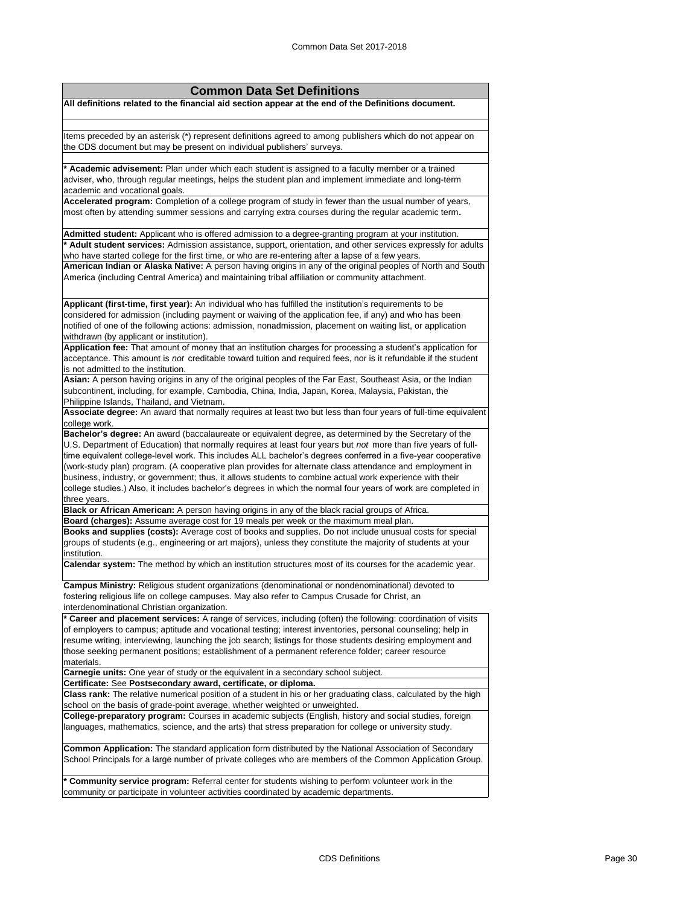## **Common Data Set Definitions All definitions related to the financial aid section appear at the end of the Definitions document.** Items preceded by an asterisk (\*) represent definitions agreed to among publishers which do not appear on the CDS document but may be present on individual publishers' surveys. **\* Academic advisement:** Plan under which each student is assigned to a faculty member or a trained adviser, who, through regular meetings, helps the student plan and implement immediate and long-term academic and vocational goals. **Accelerated program:** Completion of a college program of study in fewer than the usual number of years, most often by attending summer sessions and carrying extra courses during the regular academic term**. Admitted student:** Applicant who is offered admission to a degree-granting program at your institution. **\* Adult student services:** Admission assistance, support, orientation, and other services expressly for adults who have started college for the first time, or who are re-entering after a lapse of a few years. **American Indian or Alaska Native:** A person having origins in any of the original peoples of North and South America (including Central America) and maintaining tribal affiliation or community attachment. **Applicant (first-time, first year):** An individual who has fulfilled the institution's requirements to be considered for admission (including payment or waiving of the application fee, if any) and who has been notified of one of the following actions: admission, nonadmission, placement on waiting list, or application withdrawn (by applicant or institution). **Application fee:** That amount of money that an institution charges for processing a student's application for acceptance. This amount is *not* creditable toward tuition and required fees, nor is it refundable if the student is not admitted to the institution. **Asian:** A person having origins in any of the original peoples of the Far East, Southeast Asia, or the Indian subcontinent, including, for example, Cambodia, China, India, Japan, Korea, Malaysia, Pakistan, the Philippine Islands, Thailand, and Vietnam. **Associate degree:** An award that normally requires at least two but less than four years of full-time equivalent college work. **Bachelor's degree:** An award (baccalaureate or equivalent degree, as determined by the Secretary of the U.S. Department of Education) that normally requires at least four years but *not* more than five years of fulltime equivalent college-level work. This includes ALL bachelor's degrees conferred in a five-year cooperative (work-study plan) program. (A cooperative plan provides for alternate class attendance and employment in business, industry, or government; thus, it allows students to combine actual work experience with their college studies.) Also, it includes bachelor's degrees in which the normal four years of work are completed in three years. **Black or African American:** A person having origins in any of the black racial groups of Africa. **Board (charges):** Assume average cost for 19 meals per week or the maximum meal plan. **Books and supplies (costs):** Average cost of books and supplies. Do not include unusual costs for special groups of students (e.g., engineering or art majors), unless they constitute the majority of students at your institution. **Calendar system:** The method by which an institution structures most of its courses for the academic year. **Campus Ministry:** Religious student organizations (denominational or nondenominational) devoted to fostering religious life on college campuses. May also refer to Campus Crusade for Christ, an interdenominational Christian organization. **\* Career and placement services:** A range of services, including (often) the following: coordination of visits of employers to campus; aptitude and vocational testing; interest inventories, personal counseling; help in resume writing, interviewing, launching the job search; listings for those students desiring employment and those seeking permanent positions; establishment of a permanent reference folder; career resource materials. **Carnegie units:** One year of study or the equivalent in a secondary school subject. **Certificate:** See **Postsecondary award, certificate, or diploma. Class rank:** The relative numerical position of a student in his or her graduating class, calculated by the high school on the basis of grade-point average, whether weighted or unweighted. **College-preparatory program:** Courses in academic subjects (English, history and social studies, foreign languages, mathematics, science, and the arts) that stress preparation for college or university study. **Common Application:** The standard application form distributed by the National Association of Secondary

School Principals for a large number of private colleges who are members of the Common Application Group.

Community service program: Referral center for students wishing to perform volunteer work in the community or participate in volunteer activities coordinated by academic departments.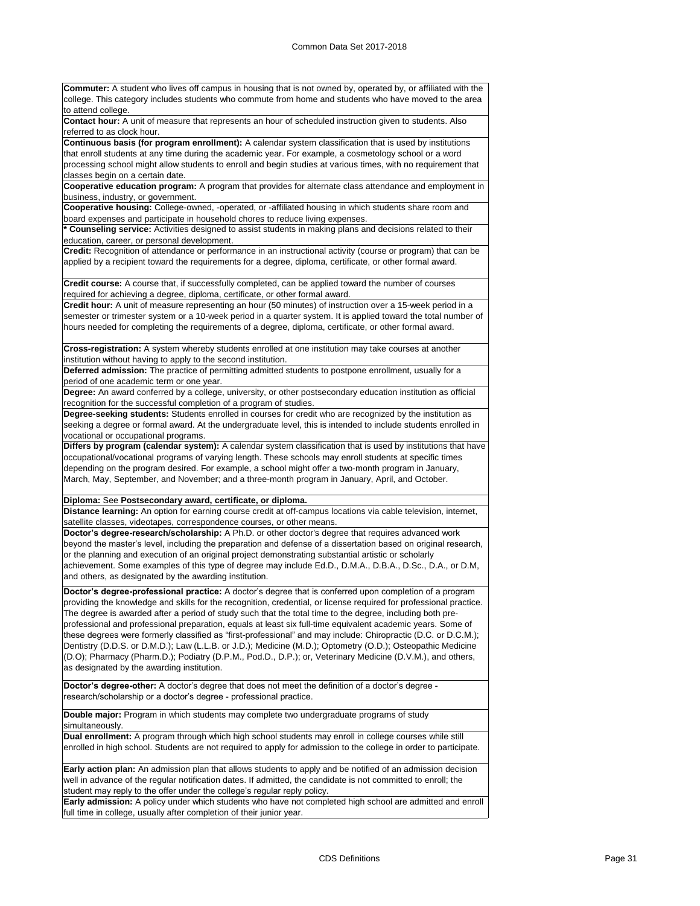| <b>Commuter:</b> A student who lives off campus in housing that is not owned by, operated by, or affiliated with the                                                                                                                                                                                                                                                                                                                                      |  |
|-----------------------------------------------------------------------------------------------------------------------------------------------------------------------------------------------------------------------------------------------------------------------------------------------------------------------------------------------------------------------------------------------------------------------------------------------------------|--|
| college. This category includes students who commute from home and students who have moved to the area<br>to attend college.                                                                                                                                                                                                                                                                                                                              |  |
| Contact hour: A unit of measure that represents an hour of scheduled instruction given to students. Also                                                                                                                                                                                                                                                                                                                                                  |  |
| referred to as clock hour.                                                                                                                                                                                                                                                                                                                                                                                                                                |  |
| Continuous basis (for program enrollment): A calendar system classification that is used by institutions<br>that enroll students at any time during the academic year. For example, a cosmetology school or a word                                                                                                                                                                                                                                        |  |
| processing school might allow students to enroll and begin studies at various times, with no requirement that                                                                                                                                                                                                                                                                                                                                             |  |
| classes begin on a certain date.                                                                                                                                                                                                                                                                                                                                                                                                                          |  |
| Cooperative education program: A program that provides for alternate class attendance and employment in                                                                                                                                                                                                                                                                                                                                                   |  |
| business, industry, or government.                                                                                                                                                                                                                                                                                                                                                                                                                        |  |
| Cooperative housing: College-owned, -operated, or -affiliated housing in which students share room and                                                                                                                                                                                                                                                                                                                                                    |  |
| board expenses and participate in household chores to reduce living expenses.<br>* Counseling service: Activities designed to assist students in making plans and decisions related to their                                                                                                                                                                                                                                                              |  |
| education, career, or personal development.                                                                                                                                                                                                                                                                                                                                                                                                               |  |
| Credit: Recognition of attendance or performance in an instructional activity (course or program) that can be                                                                                                                                                                                                                                                                                                                                             |  |
| applied by a recipient toward the requirements for a degree, diploma, certificate, or other formal award.                                                                                                                                                                                                                                                                                                                                                 |  |
| Credit course: A course that, if successfully completed, can be applied toward the number of courses                                                                                                                                                                                                                                                                                                                                                      |  |
| required for achieving a degree, diploma, certificate, or other formal award.                                                                                                                                                                                                                                                                                                                                                                             |  |
| Credit hour: A unit of measure representing an hour (50 minutes) of instruction over a 15-week period in a                                                                                                                                                                                                                                                                                                                                                |  |
| semester or trimester system or a 10-week period in a quarter system. It is applied toward the total number of                                                                                                                                                                                                                                                                                                                                            |  |
| hours needed for completing the requirements of a degree, diploma, certificate, or other formal award.                                                                                                                                                                                                                                                                                                                                                    |  |
| Cross-registration: A system whereby students enrolled at one institution may take courses at another                                                                                                                                                                                                                                                                                                                                                     |  |
| institution without having to apply to the second institution.                                                                                                                                                                                                                                                                                                                                                                                            |  |
| Deferred admission: The practice of permitting admitted students to postpone enrollment, usually for a                                                                                                                                                                                                                                                                                                                                                    |  |
| period of one academic term or one year.                                                                                                                                                                                                                                                                                                                                                                                                                  |  |
| Degree: An award conferred by a college, university, or other postsecondary education institution as official                                                                                                                                                                                                                                                                                                                                             |  |
| recognition for the successful completion of a program of studies.<br>Degree-seeking students: Students enrolled in courses for credit who are recognized by the institution as                                                                                                                                                                                                                                                                           |  |
| seeking a degree or formal award. At the undergraduate level, this is intended to include students enrolled in                                                                                                                                                                                                                                                                                                                                            |  |
| vocational or occupational programs.                                                                                                                                                                                                                                                                                                                                                                                                                      |  |
| Differs by program (calendar system): A calendar system classification that is used by institutions that have<br>occupational/vocational programs of varying length. These schools may enroll students at specific times<br>depending on the program desired. For example, a school might offer a two-month program in January,<br>March, May, September, and November; and a three-month program in January, April, and October.                         |  |
| Diploma: See Postsecondary award, certificate, or diploma.                                                                                                                                                                                                                                                                                                                                                                                                |  |
| Distance learning: An option for earning course credit at off-campus locations via cable television, internet,                                                                                                                                                                                                                                                                                                                                            |  |
| satellite classes, videotapes, correspondence courses, or other means.<br>Doctor's degree-research/scholarship: A Ph.D. or other doctor's degree that requires advanced work                                                                                                                                                                                                                                                                              |  |
| beyond the master's level, including the preparation and defense of a dissertation based on original research,                                                                                                                                                                                                                                                                                                                                            |  |
| or the planning and execution of an original project demonstrating substantial artistic or scholarly                                                                                                                                                                                                                                                                                                                                                      |  |
| achievement. Some examples of this type of degree may include Ed.D., D.M.A., D.B.A., D.Sc., D.A., or D.M,                                                                                                                                                                                                                                                                                                                                                 |  |
| and others, as designated by the awarding institution.                                                                                                                                                                                                                                                                                                                                                                                                    |  |
| Doctor's degree-professional practice: A doctor's degree that is conferred upon completion of a program<br>providing the knowledge and skills for the recognition, credential, or license required for professional practice.<br>The degree is awarded after a period of study such that the total time to the degree, including both pre-<br>professional and professional preparation, equals at least six full-time equivalent academic years. Some of |  |
| these degrees were formerly classified as "first-professional" and may include: Chiropractic (D.C. or D.C.M.);<br>Dentistry (D.D.S. or D.M.D.); Law (L.L.B. or J.D.); Medicine (M.D.); Optometry (O.D.); Osteopathic Medicine<br>(D.O); Pharmacy (Pharm.D.); Podiatry (D.P.M., Pod.D., D.P.); or, Veterinary Medicine (D.V.M.), and others,<br>as designated by the awarding institution.                                                                 |  |
| Doctor's degree-other: A doctor's degree that does not meet the definition of a doctor's degree -<br>research/scholarship or a doctor's degree - professional practice.                                                                                                                                                                                                                                                                                   |  |
| Double major: Program in which students may complete two undergraduate programs of study<br>simultaneously.                                                                                                                                                                                                                                                                                                                                               |  |
| Dual enrollment: A program through which high school students may enroll in college courses while still<br>enrolled in high school. Students are not required to apply for admission to the college in order to participate.                                                                                                                                                                                                                              |  |
| Early action plan: An admission plan that allows students to apply and be notified of an admission decision<br>well in advance of the regular notification dates. If admitted, the candidate is not committed to enroll; the<br>student may reply to the offer under the college's regular reply policy.                                                                                                                                                  |  |
| Early admission: A policy under which students who have not completed high school are admitted and enroll<br>full time in college, usually after completion of their junior year.                                                                                                                                                                                                                                                                         |  |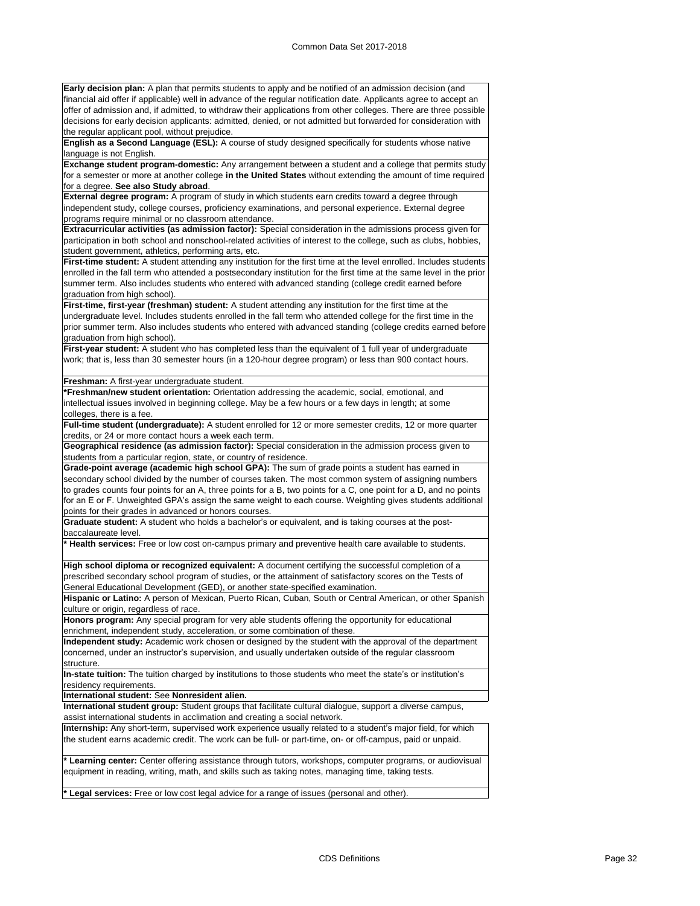**Early decision plan:** A plan that permits students to apply and be notified of an admission decision (and financial aid offer if applicable) well in advance of the regular notification date. Applicants agree to accept an offer of admission and, if admitted, to withdraw their applications from other colleges. There are three possible decisions for early decision applicants: admitted, denied, or not admitted but forwarded for consideration with the regular applicant pool, without prejudice.

**English as a Second Language (ESL):** A course of study designed specifically for students whose native language is not English.

**Exchange student program-domestic:** Any arrangement between a student and a college that permits study for a semester or more at another college **in the United States** without extending the amount of time required for a degree. **See also Study abroad**.

**External degree program:** A program of study in which students earn credits toward a degree through independent study, college courses, proficiency examinations, and personal experience. External degree programs require minimal or no classroom attendance.

**Extracurricular activities (as admission factor):** Special consideration in the admissions process given for participation in both school and nonschool-related activities of interest to the college, such as clubs, hobbies, student government, athletics, performing arts, etc.

**First-time student:** A student attending any institution for the first time at the level enrolled. Includes students enrolled in the fall term who attended a postsecondary institution for the first time at the same level in the prior summer term. Also includes students who entered with advanced standing (college credit earned before graduation from high school).

**First-time, first-year (freshman) student:** A student attending any institution for the first time at the undergraduate level. Includes students enrolled in the fall term who attended college for the first time in the prior summer term. Also includes students who entered with advanced standing (college credits earned before graduation from high school).

**First-year student:** A student who has completed less than the equivalent of 1 full year of undergraduate work; that is, less than 30 semester hours (in a 120-hour degree program) or less than 900 contact hours.

#### **Freshman:** A first-year undergraduate student.

**\*Freshman/new student orientation:** Orientation addressing the academic, social, emotional, and intellectual issues involved in beginning college. May be a few hours or a few days in length; at some colleges, there is a fee.

**Full-time student (undergraduate):** A student enrolled for 12 or more semester credits, 12 or more quarter credits, or 24 or more contact hours a week each term.

**Geographical residence (as admission factor):** Special consideration in the admission process given to students from a particular region, state, or country of residence.

**Grade-point average (academic high school GPA):** The sum of grade points a student has earned in secondary school divided by the number of courses taken. The most common system of assigning numbers to grades counts four points for an A, three points for a B, two points for a C, one point for a D, and no points for an E or F. Unweighted GPA's assign the same weight to each course. Weighting gives students additional points for their grades in advanced or honors courses.

**Graduate student:** A student who holds a bachelor's or equivalent, and is taking courses at the postbaccalaureate level.

**\* Health services:** Free or low cost on-campus primary and preventive health care available to students.

**High school diploma or recognized equivalent:** A document certifying the successful completion of a prescribed secondary school program of studies, or the attainment of satisfactory scores on the Tests of General Educational Development (GED), or another state-specified examination.

**Hispanic or Latino:** A person of Mexican, Puerto Rican, Cuban, South or Central American, or other Spanish culture or origin, regardless of race.

**Honors program:** Any special program for very able students offering the opportunity for educational enrichment, independent study, acceleration, or some combination of these.

**Independent study:** Academic work chosen or designed by the student with the approval of the department concerned, under an instructor's supervision, and usually undertaken outside of the regular classroom structure.

**In-state tuition:** The tuition charged by institutions to those students who meet the state's or institution's residency requirements.

**International student:** See **Nonresident alien.**

**International student group:** Student groups that facilitate cultural dialogue, support a diverse campus, assist international students in acclimation and creating a social network.

**Internship:** Any short-term, supervised work experience usually related to a student's major field, for which the student earns academic credit. The work can be full- or part-time, on- or off-campus, paid or unpaid.

**Learning center:** Center offering assistance through tutors, workshops, computer programs, or audiovisual equipment in reading, writing, math, and skills such as taking notes, managing time, taking tests.

**\* Legal services:** Free or low cost legal advice for a range of issues (personal and other).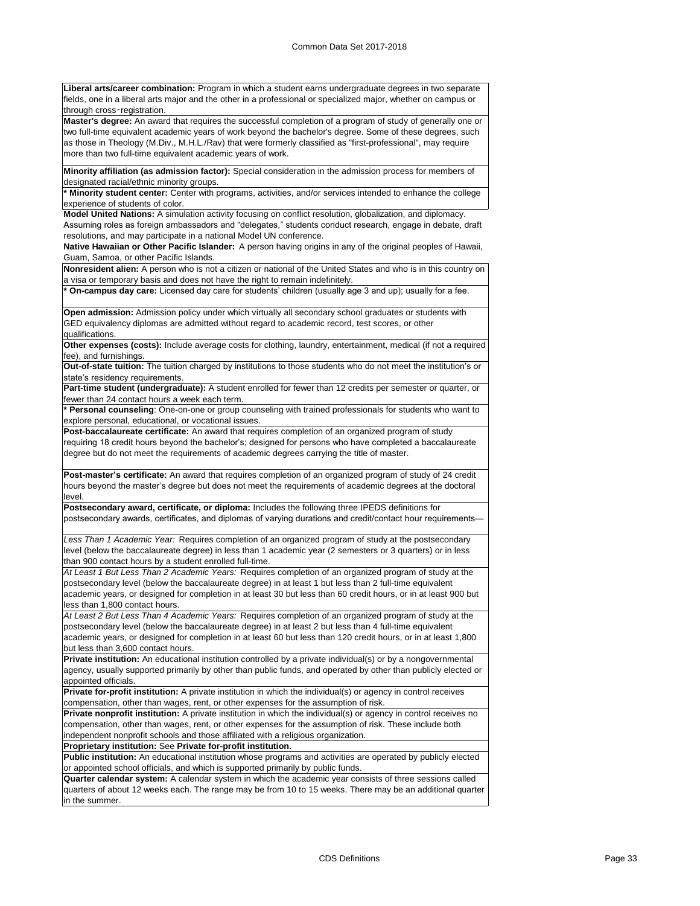**Liberal arts/career combination:** Program in which a student earns undergraduate degrees in two separate fields, one in a liberal arts major and the other in a professional or specialized major, whether on campus or through cross‑registration.

**Master's degree:** An award that requires the successful completion of a program of study of generally one or two full-time equivalent academic years of work beyond the bachelor's degree. Some of these degrees, such as those in Theology (M.Div., M.H.L./Rav) that were formerly classified as "first-professional", may require more than two full-time equivalent academic years of work.

**Minority affiliation (as admission factor):** Special consideration in the admission process for members of designated racial/ethnic minority groups.

**Minority student center:** Center with programs, activities, and/or services intended to enhance the college experience of students of color.

**Model United Nations:** A simulation activity focusing on conflict resolution, globalization, and diplomacy. Assuming roles as foreign ambassadors and "delegates," students conduct research, engage in debate, draft resolutions, and may participate in a national Model UN conference.

**Native Hawaiian or Other Pacific Islander:** A person having origins in any of the original peoples of Hawaii, Guam, Samoa, or other Pacific Islands.

**Nonresident alien:** A person who is not a citizen or national of the United States and who is in this country on a visa or temporary basis and does not have the right to remain indefinitely.

**\* On-campus day care:** Licensed day care for students' children (usually age 3 and up); usually for a fee.

**Open admission:** Admission policy under which virtually all secondary school graduates or students with GED equivalency diplomas are admitted without regard to academic record, test scores, or other qualifications.

**Other expenses (costs):** Include average costs for clothing, laundry, entertainment, medical (if not a required fee), and furnishings.

**Out-of-state tuition:** The tuition charged by institutions to those students who do not meet the institution's or state's residency requirements.

**Part-time student (undergraduate):** A student enrolled for fewer than 12 credits per semester or quarter, or fewer than 24 contact hours a week each term.

**\* Personal counseling**: One-on-one or group counseling with trained professionals for students who want to explore personal, educational, or vocational issues.

**Post-baccalaureate certificate:** An award that requires completion of an organized program of study requiring 18 credit hours beyond the bachelor's; designed for persons who have completed a baccalaureate degree but do not meet the requirements of academic degrees carrying the title of master.

**Post-master's certificate:** An award that requires completion of an organized program of study of 24 credit hours beyond the master's degree but does not meet the requirements of academic degrees at the doctoral level.

**Postsecondary award, certificate, or diploma:** Includes the following three IPEDS definitions for postsecondary awards, certificates, and diplomas of varying durations and credit/contact hour requirements—

*Less Than 1 Academic Year:* Requires completion of an organized program of study at the postsecondary level (below the baccalaureate degree) in less than 1 academic year (2 semesters or 3 quarters) or in less than 900 contact hours by a student enrolled full-time.

*At Least 1 But Less Than 2 Academic Years:* Requires completion of an organized program of study at the postsecondary level (below the baccalaureate degree) in at least 1 but less than 2 full-time equivalent academic years, or designed for completion in at least 30 but less than 60 credit hours, or in at least 900 but less than 1,800 contact hours.

*At Least 2 But Less Than 4 Academic Years:* Requires completion of an organized program of study at the postsecondary level (below the baccalaureate degree) in at least 2 but less than 4 full-time equivalent academic years, or designed for completion in at least 60 but less than 120 credit hours, or in at least 1,800 but less than 3,600 contact hours.

**Private institution:** An educational institution controlled by a private individual(s) or by a nongovernmental agency, usually supported primarily by other than public funds, and operated by other than publicly elected or appointed officials.

**Private for-profit institution:** A private institution in which the individual(s) or agency in control receives compensation, other than wages, rent, or other expenses for the assumption of risk.

**Private nonprofit institution:** A private institution in which the individual(s) or agency in control receives no compensation, other than wages, rent, or other expenses for the assumption of risk. These include both independent nonprofit schools and those affiliated with a religious organization.

**Proprietary institution:** See **Private for-profit institution.**

**Public institution:** An educational institution whose programs and activities are operated by publicly elected or appointed school officials, and which is supported primarily by public funds.

**Quarter calendar system:** A calendar system in which the academic year consists of three sessions called quarters of about 12 weeks each. The range may be from 10 to 15 weeks. There may be an additional quarter in the summer.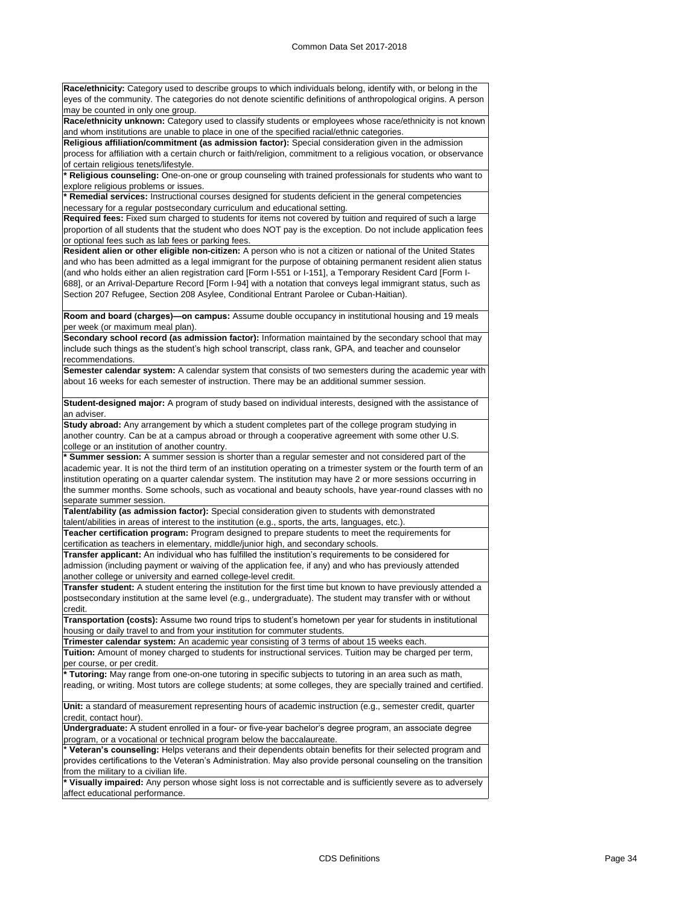**Race/ethnicity:** Category used to describe groups to which individuals belong, identify with, or belong in the eyes of the community. The categories do not denote scientific definitions of anthropological origins. A person may be counted in only one group.

**Race/ethnicity unknown:** Category used to classify students or employees whose race/ethnicity is not known and whom institutions are unable to place in one of the specified racial/ethnic categories.

**Religious affiliation/commitment (as admission factor):** Special consideration given in the admission process for affiliation with a certain church or faith/religion, commitment to a religious vocation, or observance of certain religious tenets/lifestyle.

**\* Religious counseling:** One-on-one or group counseling with trained professionals for students who want to explore religious problems or issues.

**\* Remedial services:** Instructional courses designed for students deficient in the general competencies necessary for a regular postsecondary curriculum and educational setting.

**Required fees:** Fixed sum charged to students for items not covered by tuition and required of such a large proportion of all students that the student who does NOT pay is the exception. Do not include application fees or optional fees such as lab fees or parking fees.

**Resident alien or other eligible non-citizen:** A person who is not a citizen or national of the United States and who has been admitted as a legal immigrant for the purpose of obtaining permanent resident alien status (and who holds either an alien registration card [Form I-551 or I-151], a Temporary Resident Card [Form I-688], or an Arrival-Departure Record [Form I-94] with a notation that conveys legal immigrant status, such as Section 207 Refugee, Section 208 Asylee, Conditional Entrant Parolee or Cuban-Haitian).

**Room and board (charges)—on campus:** Assume double occupancy in institutional housing and 19 meals per week (or maximum meal plan).

**Secondary school record (as admission factor):** Information maintained by the secondary school that may include such things as the student's high school transcript, class rank, GPA, and teacher and counselor recommendations.

**Semester calendar system:** A calendar system that consists of two semesters during the academic year with about 16 weeks for each semester of instruction. There may be an additional summer session.

**Student-designed major:** A program of study based on individual interests, designed with the assistance of an adviser.

**Study abroad:** Any arrangement by which a student completes part of the college program studying in another country. Can be at a campus abroad or through a cooperative agreement with some other U.S. college or an institution of another country.

**\* Summer session:** A summer session is shorter than a regular semester and not considered part of the academic year. It is not the third term of an institution operating on a trimester system or the fourth term of an institution operating on a quarter calendar system. The institution may have 2 or more sessions occurring in the summer months. Some schools, such as vocational and beauty schools, have year-round classes with no separate summer session.

**Talent/ability (as admission factor):** Special consideration given to students with demonstrated talent/abilities in areas of interest to the institution (e.g., sports, the arts, languages, etc.)

**Teacher certification program:** Program designed to prepare students to meet the requirements for certification as teachers in elementary, middle/junior high, and secondary schools.

**Transfer applicant:** An individual who has fulfilled the institution's requirements to be considered for admission (including payment or waiving of the application fee, if any) and who has previously attended another college or university and earned college-level credit.

**Transfer student:** A student entering the institution for the first time but known to have previously attended a postsecondary institution at the same level (e.g., undergraduate). The student may transfer with or without credit.

**Transportation (costs):** Assume two round trips to student's hometown per year for students in institutional housing or daily travel to and from your institution for commuter students.

**Trimester calendar system:** An academic year consisting of 3 terms of about 15 weeks each.

**Tuition:** Amount of money charged to students for instructional services. Tuition may be charged per term, per course, or per credit.

**\* Tutoring:** May range from one-on-one tutoring in specific subjects to tutoring in an area such as math, reading, or writing. Most tutors are college students; at some colleges, they are specially trained and certified.

**Unit:** a standard of measurement representing hours of academic instruction (e.g., semester credit, quarter credit, contact hour).

**Undergraduate:** A student enrolled in a four- or five-year bachelor's degree program, an associate degree program, or a vocational or technical program below the baccalaureate.

Veteran's counseling: Helps veterans and their dependents obtain benefits for their selected program and provides certifications to the Veteran's Administration. May also provide personal counseling on the transition rom the military to a civilian life.

Visually impaired: Any person whose sight loss is not correctable and is sufficiently severe as to adversely affect educational performance.